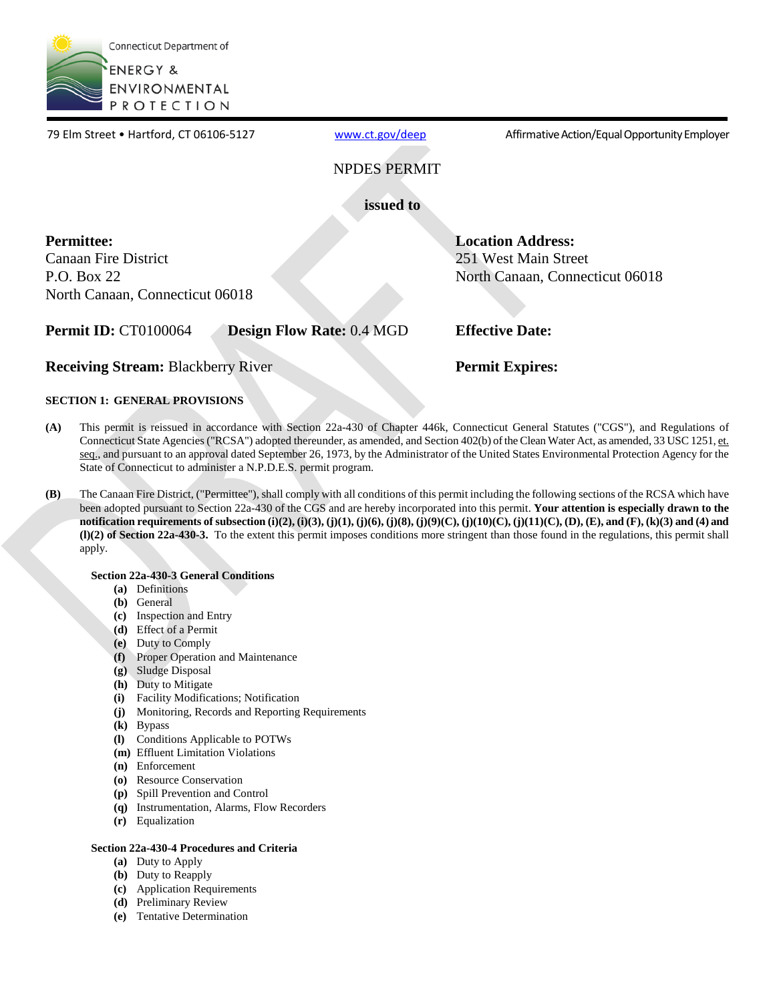

www.ct.gov/deep

79 Elm Street • Hartford, CT 06106-5127 [www.ct.gov/deep](http://www.ct.gov/deep) Affirmative Action/Equal Opportunity Employer

NPDES PERMIT

**issued to** 

**Permittee:** 

Canaan Fire District P.O. Box 22 North Canaan, Connecticut 06018

**Permit ID:** CT0100064 **Design Flow Rate:** 0.4 MGD **Effective Date:** 

**Location Address:**  251 West Main Street

North Canaan, Connecticut 06018

**Receiving Stream:** Blackberry River **Permit Expires: Permit Expires:** 

## **SECTION 1: GENERAL PROVISIONS**

- **(A)** This permit is reissued in accordance with Section 22a-430 of Chapter 446k, Connecticut General Statutes ("CGS"), and Regulations of Connecticut State Agencies ("RCSA") adopted thereunder, as amended, and Section 402(b) of the Clean Water Act, as amended, 33 USC 1251, et. seq., and pursuant to an approval dated September 26, 1973, by the Administrator of the United States Environmental Protection Agency for the State of Connecticut to administer a N.P.D.E.S. permit program.
- **(B)** The Canaan Fire District, ("Permittee"), shall comply with all conditions of this permit including the following sections of the RCSA which have been adopted pursuant to Section 22a-430 of the CGS and are hereby incorporated into this permit. **Your attention is especially drawn to the notification requirements of subsection (i)(2), (i)(3), (j)(1), (j)(6), (j)(8), (j)(9)(C), (j)(10)(C), (j)(11)(C), (D), (E), and (F), (k)(3) and (4) and (l)(2) of Section 22a-430-3.** To the extent this permit imposes conditions more stringent than those found in the regulations, this permit shall apply.

### **Section 22a-430-3 General Conditions**

- **(a)** Definitions
- **(b)** General
- **(c)** Inspection and Entry
- **(d)** Effect of a Permit
- **(e)** Duty to Comply
- **(f)** Proper Operation and Maintenance
- **(g)** Sludge Disposal
- **(h)** Duty to Mitigate
- **(i)** Facility Modifications; Notification
- **(j)** Monitoring, Records and Reporting Requirements
- **(k)** Bypass
- **(l)** Conditions Applicable to POTWs
- **(m)** Effluent Limitation Violations
- **(n)** Enforcement
- **(o)** Resource Conservation
- **(p)** Spill Prevention and Control
- **(q)** Instrumentation, Alarms, Flow Recorders
- **(r)** Equalization

### **Section 22a-430-4 Procedures and Criteria**

- **(a)** Duty to Apply
- **(b)** Duty to Reapply
- **(c)** Application Requirements
- **(d)** Preliminary Review
- **(e)** Tentative Determination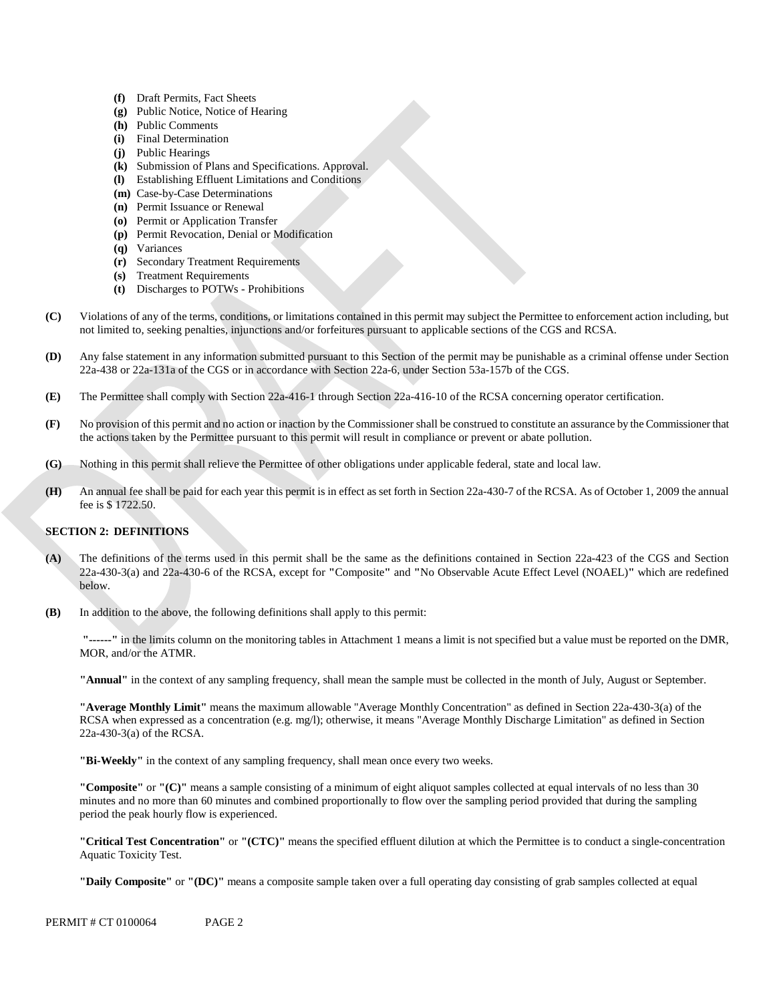- **(f)** Draft Permits, Fact Sheets
- **(g)** Public Notice, Notice of Hearing
- **(h)** Public Comments
- **(i)** Final Determination
- **(j)** Public Hearings
- **(k)**  Submission of Plans and Specifications. Approval.
- **(l)** Establishing Effluent Limitations and Conditions
- **(m)**  Case-by-Case Determinations
- **(n)** Permit Issuance or Renewal
- **(o)** Permit or Application Transfer
- **(p)** Permit Revocation, Denial or Modification
- **(q)** Variances
- **(r)** Secondary Treatment Requirements
- **(s)** Treatment Requirements
- **(t)** Discharges to POTWs Prohibitions
- Violations of any of the terms, conditions, or limitations contained in this permit may subject the Permittee to enforcement action including, but **(C)** not limited to, seeking penalties, injunctions and/or forfeitures pursuant to applicable sections of the CGS and RCSA.
- **(D)** Any false statement in any information submitted pursuant to this Section of the permit may be punishable as a criminal offense under Section 22a-438 or 22a-131a of the CGS or in accordance with Section 22a-6, under Section 53a-157b of the CGS.
- **(E)** The Permittee shall comply with Section 22a-416-1 through Section 22a-416-10 of the RCSA concerning operator certification.
- No provision of this permit and no action or inaction by the Commissioner shall be construed to constitute an assurance by the Commissioner that **(F)** the actions taken by the Permittee pursuant to this permit will result in compliance or prevent or abate pollution.
- **(G)** Nothing in this permit shall relieve the Permittee of other obligations under applicable federal, state and local law.
- An annual fee shall be paid for each year this permit is in effect as set forth in Section 22a-430-7 of the RCSA. As of October 1, 2009 the annual **(H)** fee is \$ 1722.50.

### **SECTION 2: DEFINITIONS**

- **(A)** The definitions of the terms used in this permit shall be the same as the definitions contained in Section 22a-423 of the CGS and Section 22a-430-3(a) and 22a-430-6 of the RCSA, except for **"**Composite**"** and **"**No Observable Acute Effect Level (NOAEL)**"** which are redefined below.
- **(B)** In addition to the above, the following definitions shall apply to this permit:

**"------"** in the limits column on the monitoring tables in Attachment 1 means a limit is not specified but a value must be reported on the DMR, MOR, and/or the ATMR.

**"Annual"** in the context of any sampling frequency, shall mean the sample must be collected in the month of July, August or September.

**"Average Monthly Limit"** means the maximum allowable "Average Monthly Concentration" as defined in Section 22a-430-3(a) of the RCSA when expressed as a concentration (e.g. mg/l); otherwise, it means "Average Monthly Discharge Limitation" as defined in Section 22a-430-3(a) of the RCSA.

**"Bi-Weekly"** in the context of any sampling frequency, shall mean once every two weeks.

**"Composite"** or **"(C)"** means a sample consisting of a minimum of eight aliquot samples collected at equal intervals of no less than 30 minutes and no more than 60 minutes and combined proportionally to flow over the sampling period provided that during the sampling period the peak hourly flow is experienced.

**"Critical Test Concentration"** or **"(CTC)"** means the specified effluent dilution at which the Permittee is to conduct a single-concentration Aquatic Toxicity Test.

**"Daily Composite"** or **"(DC)"** means a composite sample taken over a full operating day consisting of grab samples collected at equal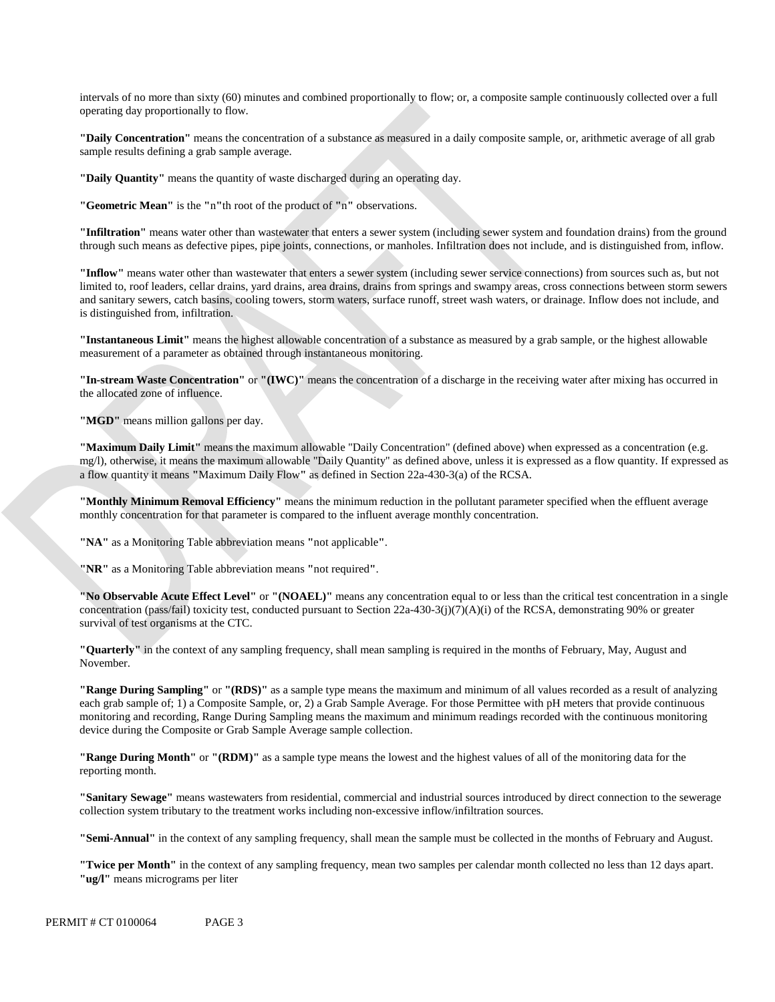intervals of no more than sixty (60) minutes and combined proportionally to flow; or, a composite sample continuously collected over a full operating day proportionally to flow.

**"Daily Concentration"** means the concentration of a substance as measured in a daily composite sample, or, arithmetic average of all grab sample results defining a grab sample average.

**"Daily Quantity"** means the quantity of waste discharged during an operating day.

**"Geometric Mean"** is the **"**n**"**th root of the product of **"**n**"** observations.

**"Infiltration"** means water other than wastewater that enters a sewer system (including sewer system and foundation drains) from the ground through such means as defective pipes, pipe joints, connections, or manholes. Infiltration does not include, and is distinguished from, inflow.

 is distinguished from, infiltration. **"Inflow"** means water other than wastewater that enters a sewer system (including sewer service connections) from sources such as, but not limited to, roof leaders, cellar drains, yard drains, area drains, drains from springs and swampy areas, cross connections between storm sewers and sanitary sewers, catch basins, cooling towers, storm waters, surface runoff, street wash waters, or drainage. Inflow does not include, and

**"Instantaneous Limit"** means the highest allowable concentration of a substance as measured by a grab sample, or the highest allowable measurement of a parameter as obtained through instantaneous monitoring.

**"In-stream Waste Concentration"** or **"(IWC)"** means the concentration of a discharge in the receiving water after mixing has occurred in the allocated zone of influence.

"MGD" means million gallons per day.

**"Maximum Daily Limit"** means the maximum allowable "Daily Concentration" (defined above) when expressed as a concentration (e.g. mg/l), otherwise, it means the maximum allowable "Daily Quantity" as defined above, unless it is expressed as a flow quantity. If expressed as a flow quantity it means **"**Maximum Daily Flow**"** as defined in Section 22a-430-3(a) of the RCSA.

**"Monthly Minimum Removal Efficiency"** means the minimum reduction in the pollutant parameter specified when the effluent average monthly concentration for that parameter is compared to the influent average monthly concentration.

**"NA"** as a Monitoring Table abbreviation means **"**not applicable**"**.

**"NR"** as a Monitoring Table abbreviation means **"**not required**"**.

**"No Observable Acute Effect Level"** or **"(NOAEL)"** means any concentration equal to or less than the critical test concentration in a single concentration (pass/fail) toxicity test, conducted pursuant to Section 22a-430-3(j)(7)(A)(i) of the RCSA, demonstrating 90% or greater survival of test organisms at the CTC.

**"Quarterly"** in the context of any sampling frequency, shall mean sampling is required in the months of February, May, August and November.

**"Range During Sampling"** or **"(RDS)"** as a sample type means the maximum and minimum of all values recorded as a result of analyzing each grab sample of; 1) a Composite Sample, or, 2) a Grab Sample Average. For those Permittee with pH meters that provide continuous monitoring and recording, Range During Sampling means the maximum and minimum readings recorded with the continuous monitoring device during the Composite or Grab Sample Average sample collection.

**"Range During Month"** or **"(RDM)"** as a sample type means the lowest and the highest values of all of the monitoring data for the reporting month.

**"Sanitary Sewage"** means wastewaters from residential, commercial and industrial sources introduced by direct connection to the sewerage collection system tributary to the treatment works including non-excessive inflow/infiltration sources.

**"Semi-Annual"** in the context of any sampling frequency, shall mean the sample must be collected in the months of February and August.

**"Twice per Month"** in the context of any sampling frequency, mean two samples per calendar month collected no less than 12 days apart. **"ug/l"** means micrograms per liter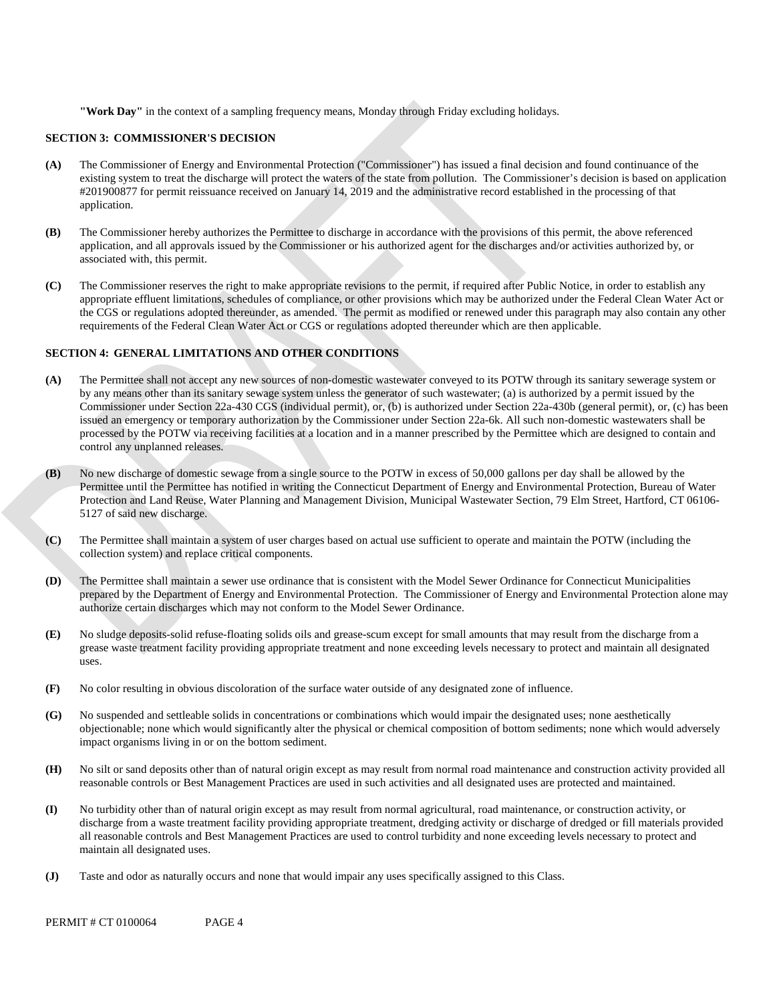**"Work Day"** in the context of a sampling frequency means, Monday through Friday excluding holidays.

### **SECTION 3: COMMISSIONER'S DECISION**

- **(A)** The Commissioner of Energy and Environmental Protection ("Commissioner") has issued a final decision and found continuance of the existing system to treat the discharge will protect the waters of the state from pollution. The Commissioner's decision is based on application #201900877 for permit reissuance received on January 14, 2019 and the administrative record established in the processing of that application.
- **(B)** The Commissioner hereby authorizes the Permittee to discharge in accordance with the provisions of this permit, the above referenced application, and all approvals issued by the Commissioner or his authorized agent for the discharges and/or activities authorized by, or associated with, this permit.
- **(C)** The Commissioner reserves the right to make appropriate revisions to the permit, if required after Public Notice, in order to establish any appropriate effluent limitations, schedules of compliance, or other provisions which may be authorized under the Federal Clean Water Act or the CGS or regulations adopted thereunder, as amended. The permit as modified or renewed under this paragraph may also contain any other requirements of the Federal Clean Water Act or CGS or regulations adopted thereunder which are then applicable.

### **SECTION 4: GENERAL LIMITATIONS AND OTHER CONDITIONS**

- **(A)** The Permittee shall not accept any new sources of non-domestic wastewater conveyed to its POTW through its sanitary sewerage system or by any means other than its sanitary sewage system unless the generator of such wastewater; (a) is authorized by a permit issued by the Commissioner under Section 22a-430 CGS (individual permit), or, (b) is authorized under Section 22a-430b (general permit), or, (c) has been issued an emergency or temporary authorization by the Commissioner under Section 22a-6k. All such non-domestic wastewaters shall be processed by the POTW via receiving facilities at a location and in a manner prescribed by the Permittee which are designed to contain and control any unplanned releases.
- **(B)** No new discharge of domestic sewage from a single source to the POTW in excess of 50,000 gallons per day shall be allowed by the Permittee until the Permittee has notified in writing the Connecticut Department of Energy and Environmental Protection, Bureau of Water Protection and Land Reuse, Water Planning and Management Division, Municipal Wastewater Section, 79 Elm Street, Hartford, CT 06106- 5127 of said new discharge.
- **(C)** The Permittee shall maintain a system of user charges based on actual use sufficient to operate and maintain the POTW (including the collection system) and replace critical components.
- **(D)** The Permittee shall maintain a sewer use ordinance that is consistent with the Model Sewer Ordinance for Connecticut Municipalities prepared by the Department of Energy and Environmental Protection. The Commissioner of Energy and Environmental Protection alone may authorize certain discharges which may not conform to the Model Sewer Ordinance.
- **(E)** No sludge deposits-solid refuse-floating solids oils and grease-scum except for small amounts that may result from the discharge from a grease waste treatment facility providing appropriate treatment and none exceeding levels necessary to protect and maintain all designated uses.
- **(F)** No color resulting in obvious discoloration of the surface water outside of any designated zone of influence.
- **(G)** No suspended and settleable solids in concentrations or combinations which would impair the designated uses; none aesthetically objectionable; none which would significantly alter the physical or chemical composition of bottom sediments; none which would adversely impact organisms living in or on the bottom sediment.
- **(H)** No silt or sand deposits other than of natural origin except as may result from normal road maintenance and construction activity provided all reasonable controls or Best Management Practices are used in such activities and all designated uses are protected and maintained.
- **(I)** No turbidity other than of natural origin except as may result from normal agricultural, road maintenance, or construction activity, or discharge from a waste treatment facility providing appropriate treatment, dredging activity or discharge of dredged or fill materials provided all reasonable controls and Best Management Practices are used to control turbidity and none exceeding levels necessary to protect and maintain all designated uses.
- **(J)** Taste and odor as naturally occurs and none that would impair any uses specifically assigned to this Class.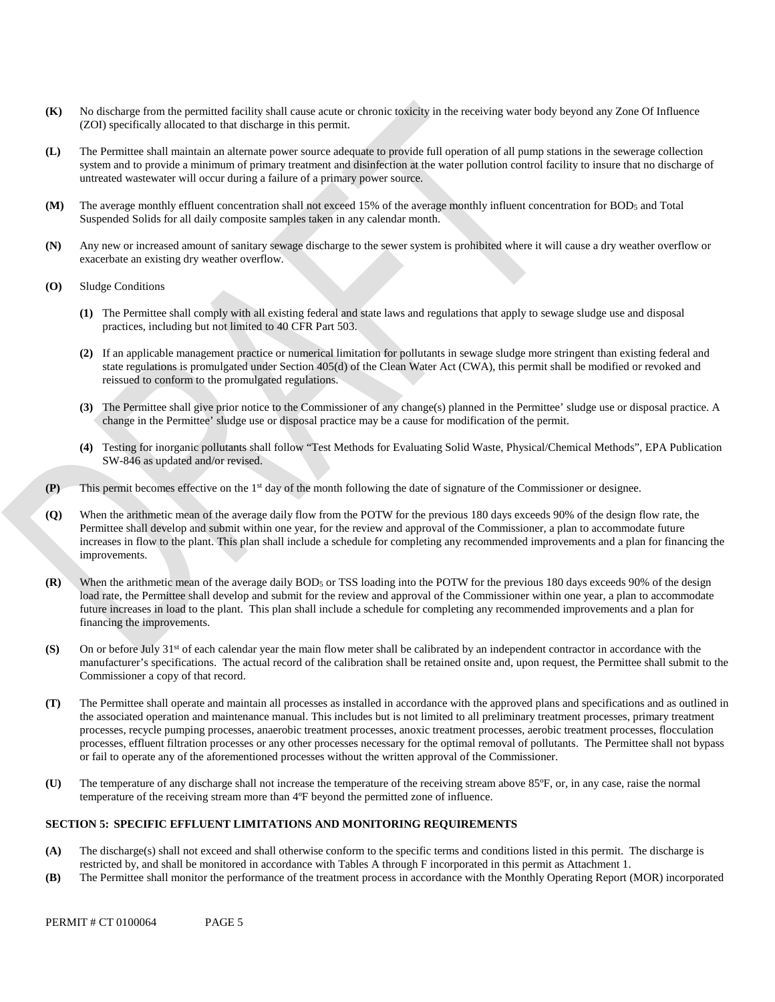- **(K)** No discharge from the permitted facility shall cause acute or chronic toxicity in the receiving water body beyond any Zone Of Influence (ZOI) specifically allocated to that discharge in this permit.
- **(L)** The Permittee shall maintain an alternate power source adequate to provide full operation of all pump stations in the sewerage collection system and to provide a minimum of primary treatment and disinfection at the water pollution control facility to insure that no discharge of untreated wastewater will occur during a failure of a primary power source.
- The average monthly effluent concentration shall not exceed 15% of the average monthly influent concentration for BOD<sub>5</sub> and Total **(M)** Suspended Solids for all daily composite samples taken in any calendar month.
- **(N)** Any new or increased amount of sanitary sewage discharge to the sewer system is prohibited where it will cause a dry weather overflow or exacerbate an existing dry weather overflow.
- **(O)** Sludge Conditions
	- **(1)** The Permittee shall comply with all existing federal and state laws and regulations that apply to sewage sludge use and disposal practices, including but not limited to 40 CFR Part 503.
	- reissued to conform to the promulgated regulations. **(2)** If an applicable management practice or numerical limitation for pollutants in sewage sludge more stringent than existing federal and state regulations is promulgated under Section 405(d) of the Clean Water Act (CWA), this permit shall be modified or revoked and
	- **(3)** The Permittee shall give prior notice to the Commissioner of any change(s) planned in the Permittee' sludge use or disposal practice. A change in the Permittee' sludge use or disposal practice may be a cause for modification of the permit.
	- **(4)** Testing for inorganic pollutants shall follow "Test Methods for Evaluating Solid Waste, Physical/Chemical Methods", EPA Publication SW-846 as updated and/or revised.
- **(P)** This permit becomes effective on the  $1<sup>st</sup>$  day of the month following the date of signature of the Commissioner or designee.
- improvements. **(Q)** When the arithmetic mean of the average daily flow from the POTW for the previous 180 days exceeds 90% of the design flow rate, the Permittee shall develop and submit within one year, for the review and approval of the Commissioner, a plan to accommodate future increases in flow to the plant. This plan shall include a schedule for completing any recommended improvements and a plan for financing the
- **(R)** When the arithmetic mean of the average daily BOD<sub>5</sub> or TSS loading into the POTW for the previous 180 days exceeds 90% of the design load rate, the Permittee shall develop and submit for the review and approval of the Commissioner within one year, a plan to accommodate future increases in load to the plant. This plan shall include a schedule for completing any recommended improvements and a plan for financing the improvements.
- **(S)** On or before July  $31<sup>st</sup>$  of each calendar year the main flow meter shall be calibrated by an independent contractor in accordance with the manufacturer's specifications. The actual record of the calibration shall be retained onsite and, upon request, the Permittee shall submit to the Commissioner a copy of that record.
- **(T)** The Permittee shall operate and maintain all processes as installed in accordance with the approved plans and specifications and as outlined in the associated operation and maintenance manual. This includes but is not limited to all preliminary treatment processes, primary treatment processes, recycle pumping processes, anaerobic treatment processes, anoxic treatment processes, aerobic treatment processes, flocculation processes, effluent filtration processes or any other processes necessary for the optimal removal of pollutants. The Permittee shall not bypass or fail to operate any of the aforementioned processes without the written approval of the Commissioner.
- **(U)** The temperature of any discharge shall not increase the temperature of the receiving stream above 85ºF, or, in any case, raise the normal temperature of the receiving stream more than 4ºF beyond the permitted zone of influence.

### **SECTION 5: SPECIFIC EFFLUENT LIMITATIONS AND MONITORING REQUIREMENTS**

- restricted by, and shall be monitored in accordance with Tables A through F incorporated in this permit as Attachment 1. **(A)** The discharge(s) shall not exceed and shall otherwise conform to the specific terms and conditions listed in this permit. The discharge is
- **(B)** The Permittee shall monitor the performance of the treatment process in accordance with the Monthly Operating Report (MOR) incorporated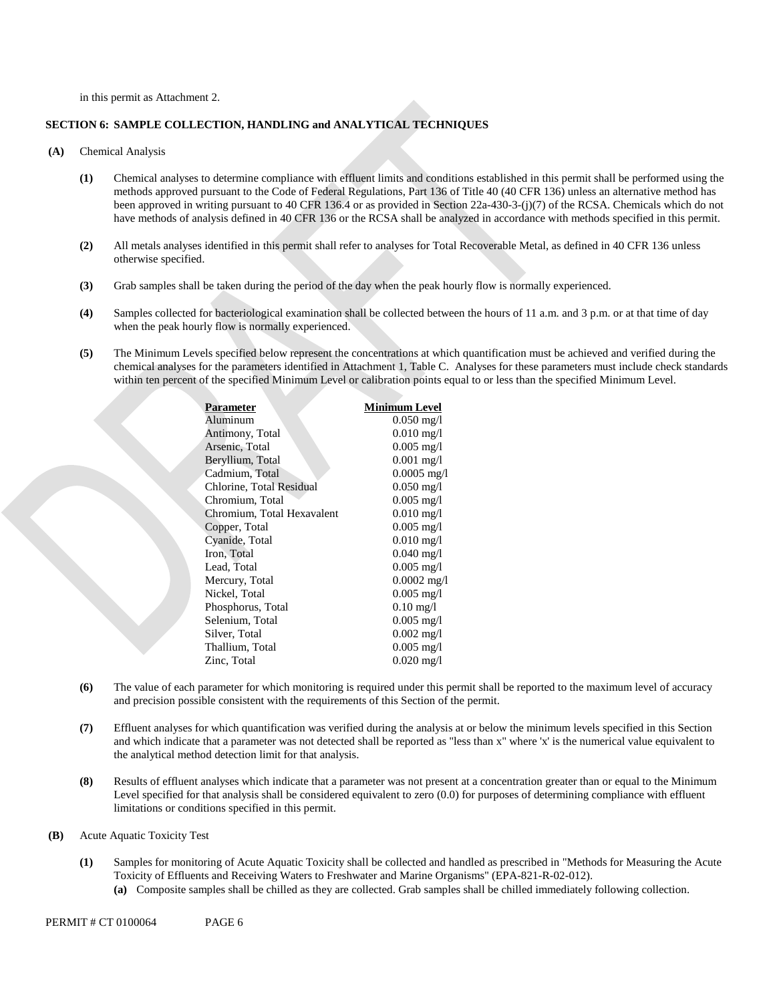in this permit as Attachment 2.

### **SECTION 6: SAMPLE COLLECTION, HANDLING and ANALYTICAL TECHNIQUES**

- **(A)** Chemical Analysis
	- **(1)** Chemical analyses to determine compliance with effluent limits and conditions established in this permit shall be performed using the methods approved pursuant to the Code of Federal Regulations, Part 136 of Title 40 (40 CFR 136) unless an alternative method has been approved in writing pursuant to 40 CFR 136.4 or as provided in Section 22a-430-3-(j)(7) of the RCSA. Chemicals which do not have methods of analysis defined in 40 CFR 136 or the RCSA shall be analyzed in accordance with methods specified in this permit.
	- **(2)** All metals analyses identified in this permit shall refer to analyses for Total Recoverable Metal, as defined in 40 CFR 136 unless otherwise specified.
	- **(3)** Grab samples shall be taken during the period of the day when the peak hourly flow is normally experienced.
	- **(4)** Samples collected for bacteriological examination shall be collected between the hours of 11 a.m. and 3 p.m. or at that time of day when the peak hourly flow is normally experienced.
	- **(5)** The Minimum Levels specified below represent the concentrations at which quantification must be achieved and verified during the chemical analyses for the parameters identified in Attachment 1, Table C. Analyses for these parameters must include check standards within ten percent of the specified Minimum Level or calibration points equal to or less than the specified Minimum Level.

| Parameter                  | Minimum Level           |
|----------------------------|-------------------------|
| Aluminum                   | $0.050 \,\mathrm{mg}/l$ |
| Antimony, Total            | $0.010 \,\mathrm{mg}/l$ |
| Arsenic, Total             | $0.005$ mg/l            |
| Beryllium, Total           | $0.001$ mg/l            |
| Cadmium, Total             | $0.0005$ mg/l           |
| Chlorine, Total Residual   | $0.050$ mg/l            |
| Chromium, Total            | $0.005$ mg/l            |
| Chromium, Total Hexavalent | $0.010$ mg/l            |
| Copper, Total              | $0.005$ mg/l            |
| Cyanide, Total             | $0.010$ mg/l            |
| Iron, Total                | $0.040$ mg/l            |
| Lead, Total                | $0.005 \text{ mg/l}$    |
| Mercury, Total             | $0.0002$ mg/l           |
| Nickel, Total              | $0.005$ mg/l            |
| Phosphorus, Total          | $0.10$ mg/l             |
| Selenium, Total            | $0.005$ mg/l            |
| Silver, Total              | $0.002$ mg/l            |
| Thallium, Total            | $0.005$ mg/l            |
| Zinc, Total                | $0.020$ mg/l            |
|                            |                         |

- **(6)** The value of each parameter for which monitoring is required under this permit shall be reported to the maximum level of accuracy and precision possible consistent with the requirements of this Section of the permit.
- **(7)** Effluent analyses for which quantification was verified during the analysis at or below the minimum levels specified in this Section and which indicate that a parameter was not detected shall be reported as "less than x" where 'x' is the numerical value equivalent to the analytical method detection limit for that analysis.
- **(8)** Results of effluent analyses which indicate that a parameter was not present at a concentration greater than or equal to the Minimum Level specified for that analysis shall be considered equivalent to zero (0.0) for purposes of determining compliance with effluent limitations or conditions specified in this permit.
- **(B)** Acute Aquatic Toxicity Test
	- **(1)** Samples for monitoring of Acute Aquatic Toxicity shall be collected and handled as prescribed in "Methods for Measuring the Acute Toxicity of Effluents and Receiving Waters to Freshwater and Marine Organisms" (EPA-821-R-02-012). **(a)** Composite samples shall be chilled as they are collected. Grab samples shall be chilled immediately following collection.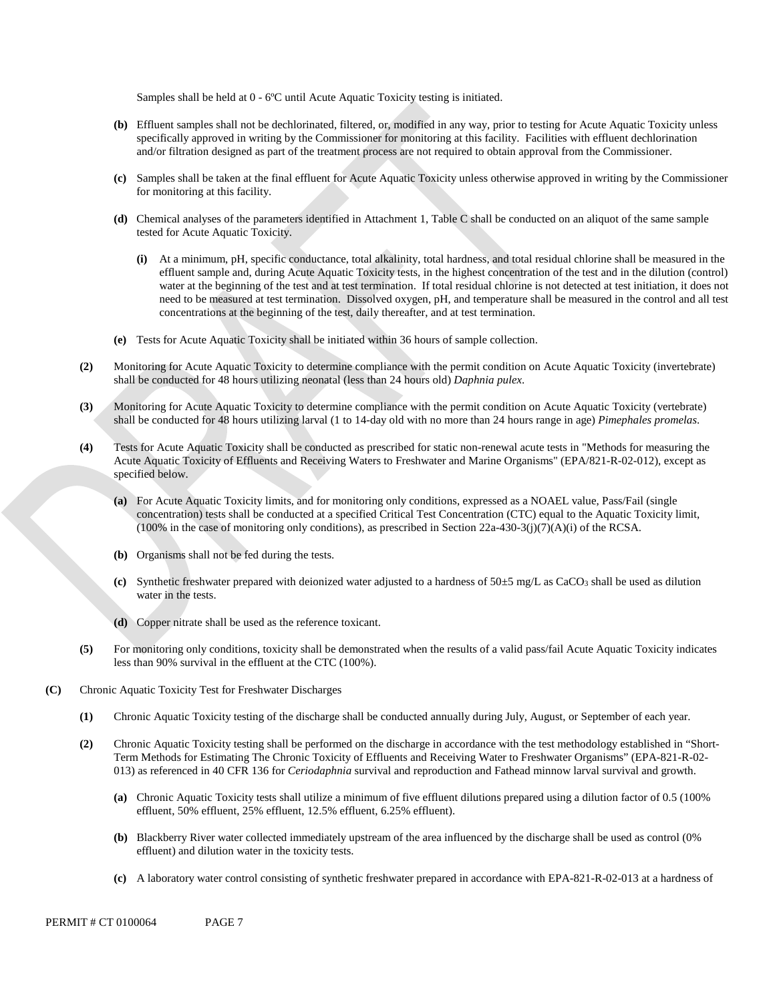Samples shall be held at 0 - 6ºC until Acute Aquatic Toxicity testing is initiated.

- **(b)** Effluent samples shall not be dechlorinated, filtered, or, modified in any way, prior to testing for Acute Aquatic Toxicity unless specifically approved in writing by the Commissioner for monitoring at this facility. Facilities with effluent dechlorination and/or filtration designed as part of the treatment process are not required to obtain approval from the Commissioner.
- **(c)** Samples shall be taken at the final effluent for Acute Aquatic Toxicity unless otherwise approved in writing by the Commissioner for monitoring at this facility.
- **(d)** Chemical analyses of the parameters identified in Attachment 1, Table C shall be conducted on an aliquot of the same sample tested for Acute Aquatic Toxicity.
	- **(i)** At a minimum, pH, specific conductance, total alkalinity, total hardness, and total residual chlorine shall be measured in the effluent sample and, during Acute Aquatic Toxicity tests, in the highest concentration of the test and in the dilution (control) water at the beginning of the test and at test termination. If total residual chlorine is not detected at test initiation, it does not need to be measured at test termination. Dissolved oxygen, pH, and temperature shall be measured in the control and all test concentrations at the beginning of the test, daily thereafter, and at test termination.
- **(e)** Tests for Acute Aquatic Toxicity shall be initiated within 36 hours of sample collection.
- **(2)** Monitoring for Acute Aquatic Toxicity to determine compliance with the permit condition on Acute Aquatic Toxicity (invertebrate) shall be conducted for 48 hours utilizing neonatal (less than 24 hours old) *Daphnia pulex*.
- **(3)** Monitoring for Acute Aquatic Toxicity to determine compliance with the permit condition on Acute Aquatic Toxicity (vertebrate) shall be conducted for 48 hours utilizing larval (1 to 14-day old with no more than 24 hours range in age) *Pimephales promelas*.
- **(4)** Tests for Acute Aquatic Toxicity shall be conducted as prescribed for static non-renewal acute tests in "Methods for measuring the Acute Aquatic Toxicity of Effluents and Receiving Waters to Freshwater and Marine Organisms" (EPA/821-R-02-012), except as specified below.
	- **(a)** For Acute Aquatic Toxicity limits, and for monitoring only conditions, expressed as a NOAEL value, Pass/Fail (single concentration) tests shall be conducted at a specified Critical Test Concentration (CTC) equal to the Aquatic Toxicity limit,  $(100\%$  in the case of monitoring only conditions), as prescribed in Section 22a-430-3(j)(7)(A)(i) of the RCSA.
	- **(b)** Organisms shall not be fed during the tests.
	- (c) Synthetic freshwater prepared with deionized water adjusted to a hardness of  $50\pm5$  mg/L as CaCO<sub>3</sub> shall be used as dilution water in the tests.
	- **(d)** Copper nitrate shall be used as the reference toxicant.
- **(5)** For monitoring only conditions, toxicity shall be demonstrated when the results of a valid pass/fail Acute Aquatic Toxicity indicates less than 90% survival in the effluent at the CTC (100%).
- **(C)** Chronic Aquatic Toxicity Test for Freshwater Discharges
	- **(1)** Chronic Aquatic Toxicity testing of the discharge shall be conducted annually during July, August, or September of each year.
	- **(2)** Chronic Aquatic Toxicity testing shall be performed on the discharge in accordance with the test methodology established in "Short-Term Methods for Estimating The Chronic Toxicity of Effluents and Receiving Water to Freshwater Organisms" (EPA-821-R-02- 013) as referenced in 40 CFR 136 for *Ceriodaphnia* survival and reproduction and Fathead minnow larval survival and growth.
		- **(a)** Chronic Aquatic Toxicity tests shall utilize a minimum of five effluent dilutions prepared using a dilution factor of 0.5 (100% effluent, 50% effluent, 25% effluent, 12.5% effluent, 6.25% effluent).
		- **(b)** Blackberry River water collected immediately upstream of the area influenced by the discharge shall be used as control (0% effluent) and dilution water in the toxicity tests.
		- **(c)** A laboratory water control consisting of synthetic freshwater prepared in accordance with EPA-821-R-02-013 at a hardness of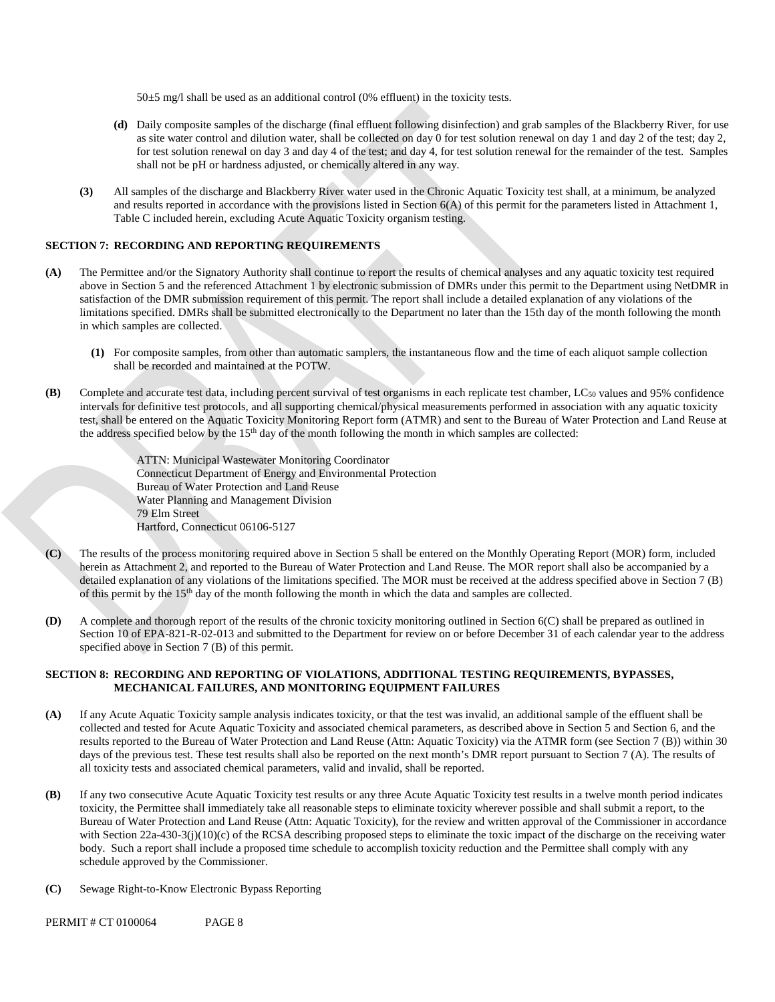50±5 mg/l shall be used as an additional control (0% effluent) in the toxicity tests.

- **(d)** Daily composite samples of the discharge (final effluent following disinfection) and grab samples of the Blackberry River, for use as site water control and dilution water, shall be collected on day 0 for test solution renewal on day 1 and day 2 of the test; day 2, for test solution renewal on day 3 and day 4 of the test; and day 4, for test solution renewal for the remainder of the test. Samples shall not be pH or hardness adjusted, or chemically altered in any way.
- **(3)** All samples of the discharge and Blackberry River water used in the Chronic Aquatic Toxicity test shall, at a minimum, be analyzed and results reported in accordance with the provisions listed in Section  $6(A)$  of this permit for the parameters listed in Attachment 1, Table C included herein, excluding Acute Aquatic Toxicity organism testing.

### **SECTION 7: RECORDING AND REPORTING REQUIREMENTS**

- **(A)** The Permittee and/or the Signatory Authority shall continue to report the results of chemical analyses and any aquatic toxicity test required above in Section 5 and the referenced Attachment 1 by electronic submission of DMRs under this permit to the Department using NetDMR in satisfaction of the DMR submission requirement of this permit. The report shall include a detailed explanation of any violations of the limitations specified. DMRs shall be submitted electronically to the Department no later than the 15th day of the month following the month in which samples are collected.
	- **(1)** For composite samples, from other than automatic samplers, the instantaneous flow and the time of each aliquot sample collection shall be recorded and maintained at the POTW.
- **(B)** Complete and accurate test data, including percent survival of test organisms in each replicate test chamber, LC<sub>50</sub> values and 95% confidence intervals for definitive test protocols, and all supporting chemical/physical measurements performed in association with any aquatic toxicity test, shall be entered on the Aquatic Toxicity Monitoring Report form (ATMR) and sent to the Bureau of Water Protection and Land Reuse at the address specified below by the 15th day of the month following the month in which samples are collected:
	- ATTN: Municipal Wastewater Monitoring Coordinator Connecticut Department of Energy and Environmental Protection Bureau of Water Protection and Land Reuse Water Planning and Management Division 79 Elm Street Hartford, Connecticut 06106-5127
- **(C)** The results of the process monitoring required above in Section 5 shall be entered on the Monthly Operating Report (MOR) form, included herein as Attachment 2, and reported to the Bureau of Water Protection and Land Reuse. The MOR report shall also be accompanied by a detailed explanation of any violations of the limitations specified. The MOR must be received at the address specified above in Section 7 (B) of this permit by the 15th day of the month following the month in which the data and samples are collected.
- **(D)** A complete and thorough report of the results of the chronic toxicity monitoring outlined in Section 6(C) shall be prepared as outlined in Section 10 of EPA-821-R-02-013 and submitted to the Department for review on or before December 31 of each calendar year to the address specified above in Section 7 (B) of this permit.

### **SECTION 8: RECORDING AND REPORTING OF VIOLATIONS, ADDITIONAL TESTING REQUIREMENTS, BYPASSES, MECHANICAL FAILURES, AND MONITORING EQUIPMENT FAILURES**

- **(A)** If any Acute Aquatic Toxicity sample analysis indicates toxicity, or that the test was invalid, an additional sample of the effluent shall be collected and tested for Acute Aquatic Toxicity and associated chemical parameters, as described above in Section 5 and Section 6, and the results reported to the Bureau of Water Protection and Land Reuse (Attn: Aquatic Toxicity) via the ATMR form (see Section 7 (B)) within 30 days of the previous test. These test results shall also be reported on the next month's DMR report pursuant to Section 7 (A). The results of all toxicity tests and associated chemical parameters, valid and invalid, shall be reported.
- **(B)** If any two consecutive Acute Aquatic Toxicity test results or any three Acute Aquatic Toxicity test results in a twelve month period indicates toxicity, the Permittee shall immediately take all reasonable steps to eliminate toxicity wherever possible and shall submit a report, to the Bureau of Water Protection and Land Reuse (Attn: Aquatic Toxicity), for the review and written approval of the Commissioner in accordance with Section 22a-430-3(j)(10)(c) of the RCSA describing proposed steps to eliminate the toxic impact of the discharge on the receiving water body. Such a report shall include a proposed time schedule to accomplish toxicity reduction and the Permittee shall comply with any schedule approved by the Commissioner.
- **(C)** Sewage Right-to-Know Electronic Bypass Reporting

PERMIT # CT 0100064 PAGE 8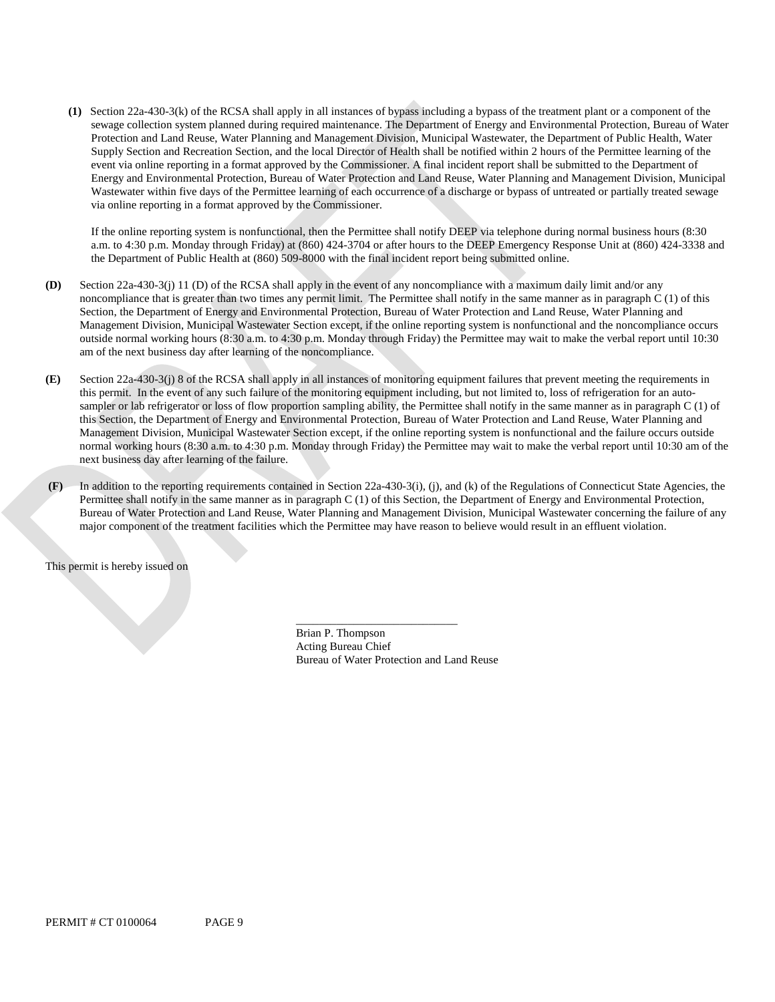**(1)** Section 22a-430-3(k) of the RCSA shall apply in all instances of bypass including a bypass of the treatment plant or a component of the sewage collection system planned during required maintenance. The Department of Energy and Environmental Protection, Bureau of Water Protection and Land Reuse, Water Planning and Management Division, Municipal Wastewater, the Department of Public Health, Water Supply Section and Recreation Section, and the local Director of Health shall be notified within 2 hours of the Permittee learning of the event via online reporting in a format approved by the Commissioner. A final incident report shall be submitted to the Department of Energy and Environmental Protection, Bureau of Water Protection and Land Reuse, Water Planning and Management Division, Municipal Wastewater within five days of the Permittee learning of each occurrence of a discharge or bypass of untreated or partially treated sewage via online reporting in a format approved by the Commissioner.

a. m. to 4:30 p.m. Monday through Friday) at (860) 424-3704 or after hours to the DEEP Emergency Response Unit at (860) 424-3338 and If the online reporting system is nonfunctional, then the Permittee shall notify DEEP via telephone during normal business hours (8:30 the Department of Public Health at (860) 509-8000 with the final incident report being submitted online.

- **(D)** Section 22a-430-3(j) 11 (D) of the RCSA shall apply in the event of any noncompliance with a maximum daily limit and/or any noncompliance that is greater than two times any permit limit. The Permittee shall notify in the same manner as in paragraph C (1) of this Section, the Department of Energy and Environmental Protection, Bureau of Water Protection and Land Reuse, Water Planning and Management Division, Municipal Wastewater Section except, if the online reporting system is nonfunctional and the noncompliance occurs outside normal working hours (8:30 a.m. to 4:30 p.m. Monday through Friday) the Permittee may wait to make the verbal report until 10:30 am of the next business day after learning of the noncompliance.
- next business day after learning of the failure. **(E)** Section 22a-430-3(j) 8 of the RCSA shall apply in all instances of monitoring equipment failures that prevent meeting the requirements in this permit. In the event of any such failure of the monitoring equipment including, but not limited to, loss of refrigeration for an autosampler or lab refrigerator or loss of flow proportion sampling ability, the Permittee shall notify in the same manner as in paragraph C (1) of this Section, the Department of Energy and Environmental Protection, Bureau of Water Protection and Land Reuse, Water Planning and Management Division, Municipal Wastewater Section except, if the online reporting system is nonfunctional and the failure occurs outside normal working hours (8:30 a.m. to 4:30 p.m. Monday through Friday) the Permittee may wait to make the verbal report until 10:30 am of the
- major component of the treatment facilities which the Permittee may have reason to believe would result in an effluent violation. **(F)** In addition to the reporting requirements contained in Section 22a-430-3(i), (j), and (k) of the Regulations of Connecticut State Agencies, the Permittee shall notify in the same manner as in paragraph C (1) of this Section, the Department of Energy and Environmental Protection, Bureau of Water Protection and Land Reuse, Water Planning and Management Division, Municipal Wastewater concerning the failure of any

This permit is hereby issued on

Brian P. Thompson Acting Bureau Chief Bureau of Water Protection and Land Reuse

\_\_\_\_\_\_\_\_\_\_\_\_\_\_\_\_\_\_\_\_\_\_\_\_\_\_\_\_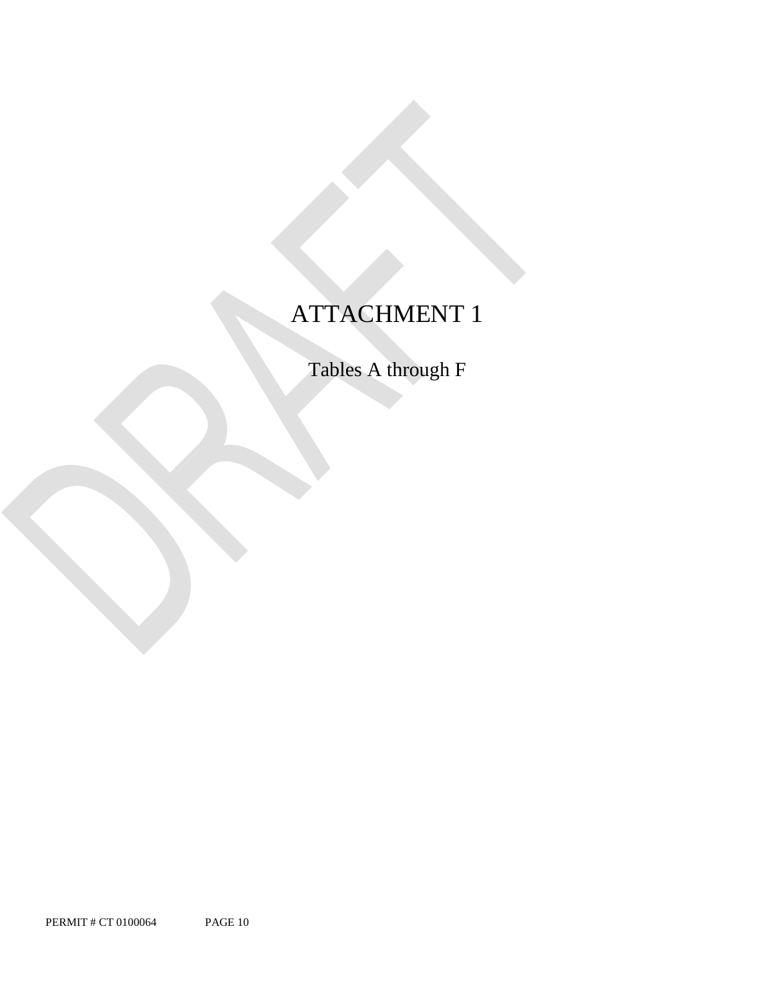# ATTACHMENT 1

Tables A through F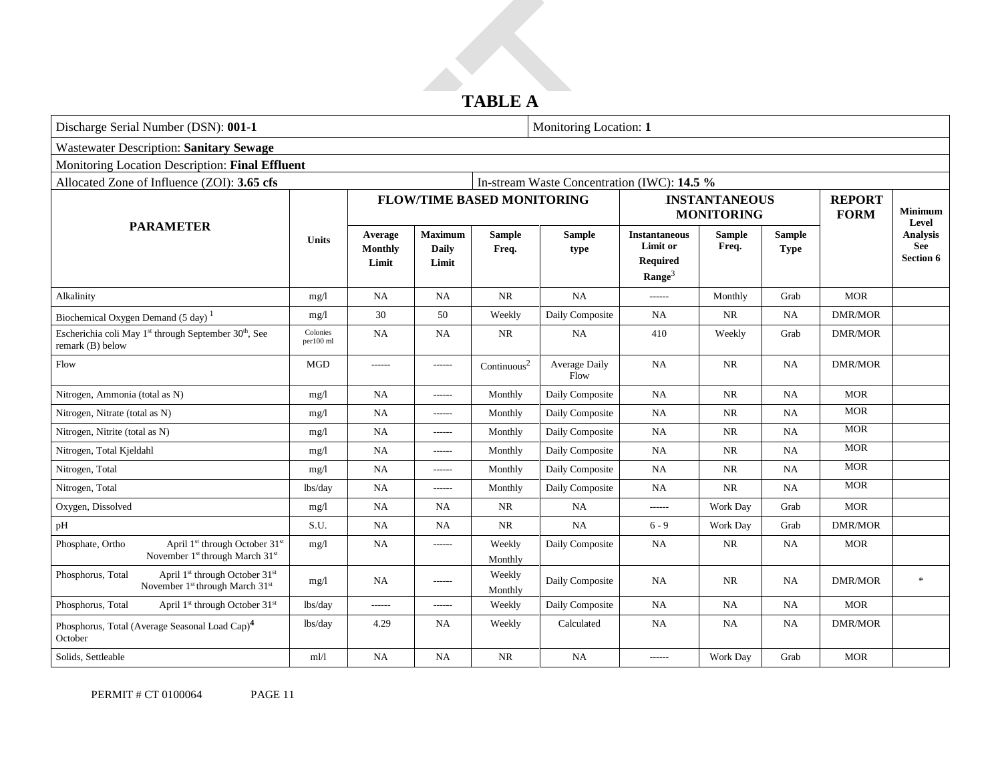# **TABLE A**

| Discharge Serial Number (DSN): 001-1                                                                                                   |                       | Monitoring Location: 1      |                                  |                                   |                                             |                                                                           |                        |                              |                              |                                                            |
|----------------------------------------------------------------------------------------------------------------------------------------|-----------------------|-----------------------------|----------------------------------|-----------------------------------|---------------------------------------------|---------------------------------------------------------------------------|------------------------|------------------------------|------------------------------|------------------------------------------------------------|
| <b>Wastewater Description: Sanitary Sewage</b>                                                                                         |                       |                             |                                  |                                   |                                             |                                                                           |                        |                              |                              |                                                            |
| Monitoring Location Description: Final Effluent                                                                                        |                       |                             |                                  |                                   |                                             |                                                                           |                        |                              |                              |                                                            |
| Allocated Zone of Influence (ZOI): 3.65 cfs                                                                                            |                       |                             |                                  |                                   | In-stream Waste Concentration (IWC): 14.5 % |                                                                           |                        |                              |                              |                                                            |
|                                                                                                                                        |                       |                             |                                  | <b>FLOW/TIME BASED MONITORING</b> |                                             | <b>INSTANTANEOUS</b><br><b>MONITORING</b>                                 |                        |                              | <b>REPORT</b><br><b>FORM</b> | <b>Minimum</b>                                             |
| <b>PARAMETER</b><br><b>Units</b>                                                                                                       |                       | Average<br>Monthly<br>Limit | <b>Maximum</b><br>Daily<br>Limit | <b>Sample</b><br>Freq.            | <b>Sample</b><br>type                       | <b>Instantaneous</b><br>Limit or<br><b>Required</b><br>$\textbf{Range}^3$ | <b>Sample</b><br>Freq. | <b>Sample</b><br><b>Type</b> |                              | Level<br><b>Analysis</b><br><b>See</b><br><b>Section 6</b> |
| Alkalinity                                                                                                                             | mg/1                  | <b>NA</b>                   | <b>NA</b>                        | <b>NR</b>                         | <b>NA</b>                                   | $-----$                                                                   | Monthly                | Grab                         | <b>MOR</b>                   |                                                            |
| Biochemical Oxygen Demand (5 day) <sup>1</sup>                                                                                         | mg/1                  | 30                          | 50                               | Weekly                            | Daily Composite                             | <b>NA</b>                                                                 | NR                     | <b>NA</b>                    | <b>DMR/MOR</b>               |                                                            |
| Escherichia coli May 1 <sup>st</sup> through September 30 <sup>th</sup> , See<br>remark (B) below                                      | Colonies<br>per100 ml | <b>NA</b>                   | NA                               | <b>NR</b>                         | <b>NA</b>                                   | 410                                                                       | Weekly                 | Grab                         | DMR/MOR                      |                                                            |
| Flow                                                                                                                                   | <b>MGD</b>            | ------                      | ------                           | Continuous <sup>2</sup>           | Average Daily<br>Flow                       | <b>NA</b>                                                                 | <b>NR</b>              | <b>NA</b>                    | <b>DMR/MOR</b>               |                                                            |
| Nitrogen, Ammonia (total as N)                                                                                                         | mg/1                  | <b>NA</b>                   | ------                           | Monthly                           | Daily Composite                             | <b>NA</b>                                                                 | <b>NR</b>              | <b>NA</b>                    | <b>MOR</b>                   |                                                            |
| Nitrogen, Nitrate (total as N)                                                                                                         | mg/1                  | <b>NA</b>                   | ------                           | Monthly                           | Daily Composite                             | NA                                                                        | NR                     | <b>NA</b>                    | <b>MOR</b>                   |                                                            |
| Nitrogen, Nitrite (total as N)                                                                                                         | mg/1                  | NA                          | $-----1$                         | Monthly                           | Daily Composite                             | <b>NA</b>                                                                 | <b>NR</b>              | <b>NA</b>                    | <b>MOR</b>                   |                                                            |
| Nitrogen, Total Kjeldahl                                                                                                               | mg/1                  | NA                          | $- - - - - -$                    | Monthly                           | Daily Composite                             | <b>NA</b>                                                                 | NR                     | <b>NA</b>                    | <b>MOR</b>                   |                                                            |
| Nitrogen, Total                                                                                                                        | mg/1                  | NA                          | $- - - - - -$                    | Monthly                           | Daily Composite                             | NA                                                                        | NR                     | <b>NA</b>                    | <b>MOR</b>                   |                                                            |
| Nitrogen, Total                                                                                                                        | lbs/day               | NA                          | ------                           | Monthly                           | Daily Composite                             | <b>NA</b>                                                                 | NR                     | <b>NA</b>                    | <b>MOR</b>                   |                                                            |
| Oxygen, Dissolved                                                                                                                      | mg/l                  | NA                          | <b>NA</b>                        | $\rm NR$                          | <b>NA</b>                                   | ------                                                                    | Work Day               | Grab                         | <b>MOR</b>                   |                                                            |
| pH                                                                                                                                     | S.U.                  | <b>NA</b>                   | <b>NA</b>                        | <b>NR</b>                         | <b>NA</b>                                   | $6 - 9$                                                                   | Work Day               | Grab                         | <b>DMR/MOR</b>               |                                                            |
| Phosphate, Ortho<br>April 1 <sup>st</sup> through October 31 <sup>st</sup><br>November 1 <sup>st</sup> through March 31 <sup>st</sup>  | mg/1                  | NA                          | ------                           | Weekly<br>Monthly                 | Daily Composite                             | <b>NA</b>                                                                 | NR                     | <b>NA</b>                    | <b>MOR</b>                   |                                                            |
| April 1 <sup>st</sup> through October 31 <sup>st</sup><br>Phosphorus, Total<br>November 1 <sup>st</sup> through March 31 <sup>st</sup> | mg/l                  | NA.                         | ------                           | Weekly<br>Monthly                 | Daily Composite                             | NA                                                                        | NR.                    | <b>NA</b>                    | <b>DMR/MOR</b>               | $\frac{1}{2}$                                              |
| Phosphorus, Total<br>April 1st through October 31st                                                                                    | lbs/day               | ------                      | ------                           | Weekly                            | Daily Composite                             | NA                                                                        | <b>NA</b>              | <b>NA</b>                    | <b>MOR</b>                   |                                                            |
| Phosphorus, Total (Average Seasonal Load Cap) <sup>4</sup><br>October                                                                  | lbs/day               | 4.29                        | <b>NA</b>                        | Weekly                            | Calculated                                  | NA                                                                        | <b>NA</b>              | <b>NA</b>                    | <b>DMR/MOR</b>               |                                                            |
| Solids, Settleable                                                                                                                     | ml/l                  | NA.                         | NA                               | NR                                | NA.                                         | ------                                                                    | Work Day               | Grab                         | <b>MOR</b>                   |                                                            |

PERMIT # CT 0100064 PAGE 11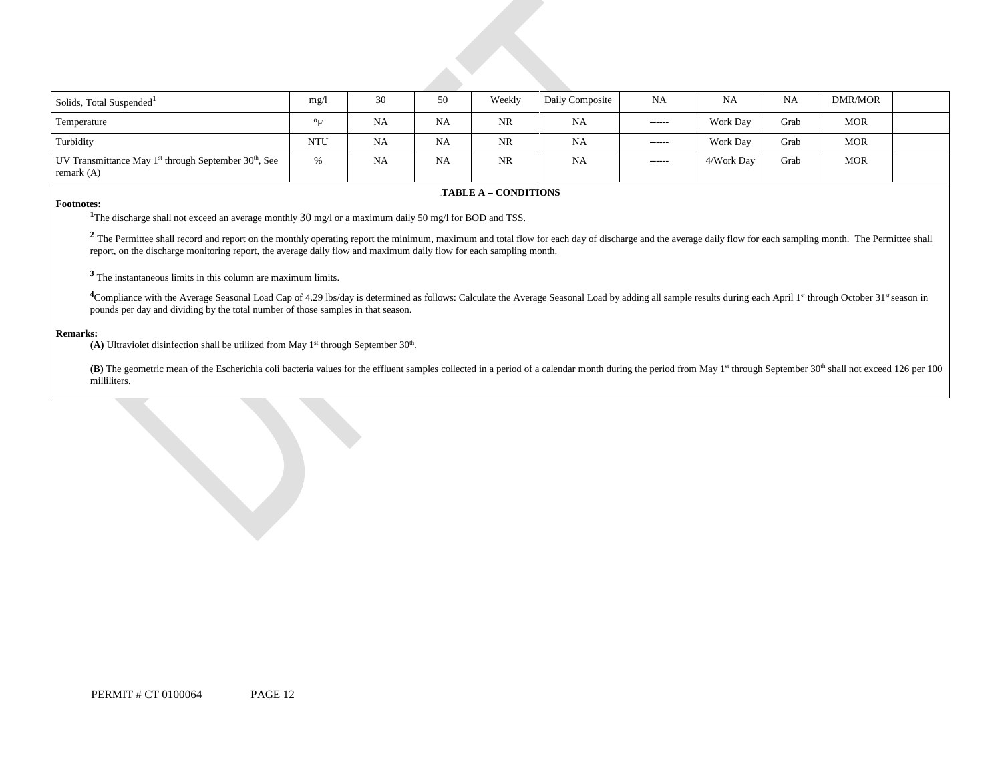| Solids, Total Suspended <sup>1</sup>                                                   | mg/l       | 30        | 50        | Weekly    | Daily Composite | NA            | NA         | <b>NA</b> | DMR/MOR    |  |
|----------------------------------------------------------------------------------------|------------|-----------|-----------|-----------|-----------------|---------------|------------|-----------|------------|--|
| Temperature                                                                            | ᅁ          | <b>NA</b> | <b>NA</b> | <b>NR</b> | <b>NA</b>       | $- - - - - -$ | Work Day   | Grab      | <b>MOR</b> |  |
| Turbidity                                                                              | <b>NTU</b> | <b>NA</b> | <b>NA</b> | <b>NR</b> | NA              | $- - - - - -$ | Work Day   | Grab      | <b>MOR</b> |  |
| UV Transmittance May $1^{st}$ through September 30 <sup>th</sup> , See<br>remark $(A)$ | $\%$       | <b>NA</b> | <b>NA</b> | <b>NR</b> | NA              | $-----$       | 4/Work Day | Grab      | <b>MOR</b> |  |

#### **FABLE A – CONDITIONS**

### **Footnotes: 1**

The discharge shall not exceed an average monthly 30 mg/l or a maximum daily 50 mg/l for BOD and TSS.

<sup>2</sup> The Permittee shall record and report on the monthly operating report the minimum, maximum and total flow for each day of discharge and the average daily flow for each sampling month. The Permittee shall report, on the discharge monitoring report, the average daily flow and maximum daily flow for each sampling month.

**<sup>3</sup>**The instantaneous limits in this column are maximum limits.

 pounds per day and dividing by the total number of those samples in that season. <sup>4</sup>Compliance with the Average Seasonal Load Cap of 4.29 lbs/day is determined as follows: Calculate the Average Seasonal Load by adding all sample results during each April 1<sup>st</sup> through October 31<sup>st</sup> season in

#### **Remarks:**

(A) Ultraviolet disinfection shall be utilized from May  $1<sup>st</sup>$  through September  $30<sup>th</sup>$ .

(B) The geometric mean of the Escherichia coli bacteria values for the effluent samples collected in a period of a calendar month during the period from May 1<sup>st</sup> through September 30<sup>th</sup> shall not exceed 126 per 100 milliliters.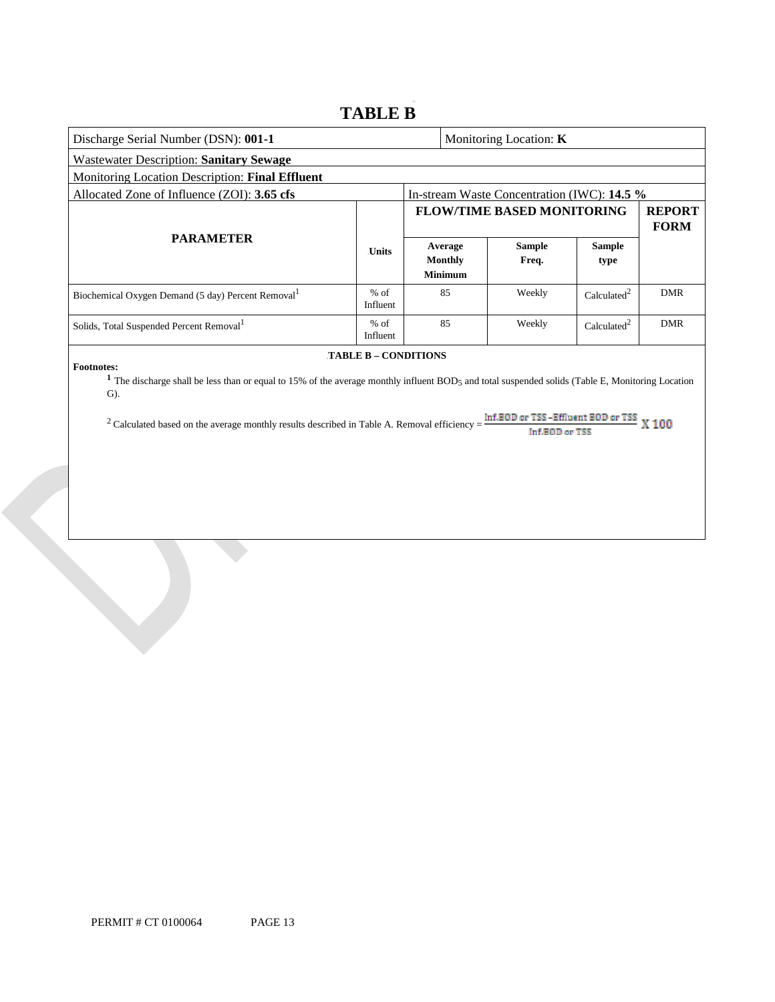# **TABLE B**

| Discharge Serial Number (DSN): 001-1                                                                                                                                |                             |                                                                   |                                             | Monitoring Location: <b>K</b>               |                         |            |
|---------------------------------------------------------------------------------------------------------------------------------------------------------------------|-----------------------------|-------------------------------------------------------------------|---------------------------------------------|---------------------------------------------|-------------------------|------------|
| <b>Wastewater Description: Sanitary Sewage</b>                                                                                                                      |                             |                                                                   |                                             |                                             |                         |            |
| Monitoring Location Description: Final Effluent                                                                                                                     |                             |                                                                   |                                             |                                             |                         |            |
| Allocated Zone of Influence (ZOI): 3.65 cfs                                                                                                                         |                             |                                                                   |                                             | In-stream Waste Concentration (IWC): 14.5 % |                         |            |
|                                                                                                                                                                     |                             | <b>FLOW/TIME BASED MONITORING</b><br><b>REPORT</b><br><b>FORM</b> |                                             |                                             |                         |            |
| <b>PARAMETER</b>                                                                                                                                                    | <b>Units</b>                |                                                                   | Average<br><b>Monthly</b><br><b>Minimum</b> | <b>Sample</b><br>Freq.                      | <b>Sample</b><br>type   |            |
| Biochemical Oxygen Demand (5 day) Percent Removal <sup>1</sup>                                                                                                      | $%$ of<br>Influent          |                                                                   | 85                                          | Weekly                                      | Calculated <sup>2</sup> | <b>DMR</b> |
| Solids, Total Suspended Percent Removal <sup>1</sup>                                                                                                                | $%$ of<br>Influent          |                                                                   | 85                                          | Weekly                                      | Calculated <sup>2</sup> | <b>DMR</b> |
| <b>Footnotes:</b><br>The discharge shall be less than or equal to 15% of the average monthly influent BOD5 and total suspended solids (Table E, Monitoring Location | <b>TABLE B - CONDITIONS</b> |                                                                   |                                             |                                             |                         |            |

G).

<sup>2</sup> Calculated based on the average monthly results described in Table A. Removal efficiency =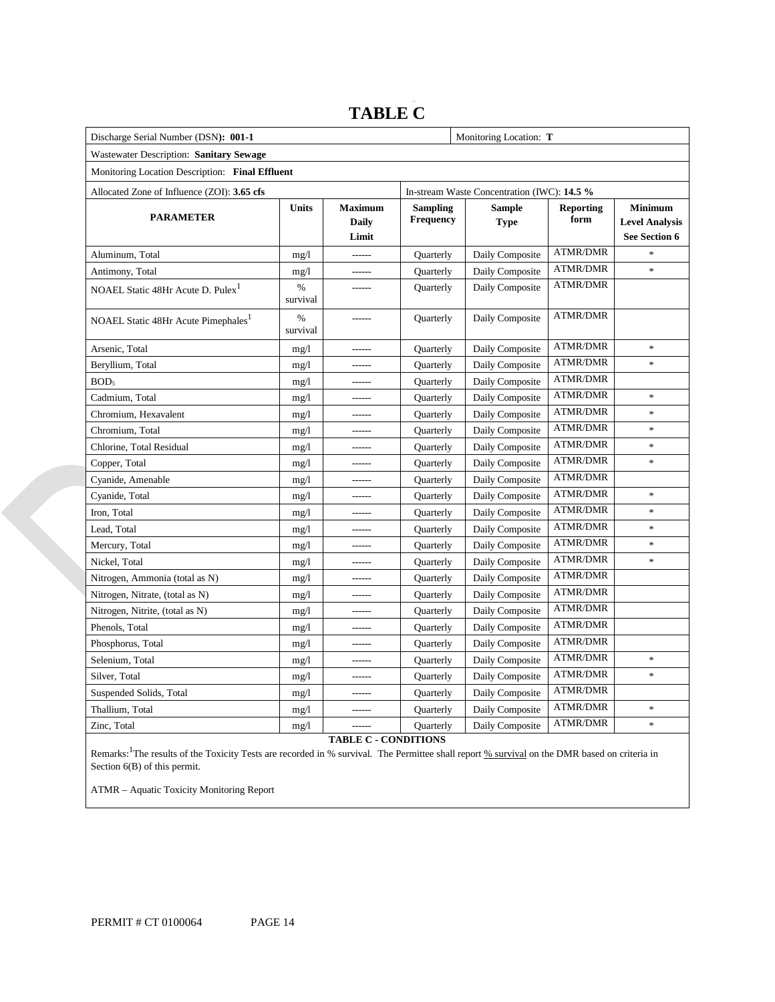### **Monitoring Location:** T  Wastewater Description: **Sanitary Sewage**  Monitoring Location Description: **Final Effluent**  Allocated Zone of Influence (ZOI): **3.65 cfs** In-stream Waste Concentration (IWC): **14.5 %**  NOAEL Static 48Hr Acute D.  $Puler<sup>1</sup>$  % Nitrogen, Ammonia (total as N) mg/l ------ Quarterly Daily Composite ATMR/DMR Discharge Serial Number (DSN): 001-1 **PARAMETER Units Maximum Daily Limit Sampling Frequency Sample Type Reporting form Minimum Level Analysis See Section 6**  Aluminum, Total mg/l mg/l ------ Quarterly Daily Composite ATMR/DMR Antimony, Total mg/l mg/l ------ Quarterly Daily Composite ATMR/DMR \* survival ------ Quarterly Daily Composite ATMR/DMR NOAEL Static 48Hr Acute Pimephales<sup>1</sup> % survival ------ Quarterly Daily Composite ATMR/DMR Arsenic, Total mg/l mg/l ------ Quarterly Daily Composite ATMR/DMR \* Beryllium, Total **mg/l ------** Quarterly Daily Composite ATMR/DMR \* BOD<sub>5</sub> mg/l ------ Quarterly Daily Composite ATMR/DMR Cadmium, Total mg/l mg/l ------ Quarterly Daily Composite ATMR/DMR \* Chromium, Hexavalent mg/l mg/l ------ Quarterly Daily Composite ATMR/DMR \* Chromium, Total **mg/l ------** Quarterly Daily Composite ATMR/DMR \* Chlorine, Total Residual mg/l mg/l ------ Quarterly Daily Composite ATMR/DMR \* Copper, Total mg/l ------ Quarterly Daily Composite ATMR/DMR \* Cyanide, Amenable mg/l ------ Quarterly Daily Composite ATMR/DMR Cyanide, Total mg/l mg/l ------ Quarterly Daily Composite ATMR/DMR \* Iron, Total mg/l ------ Quarterly Daily Composite ATMR/DMR \* Lead, Total **mg/l ------** Quarterly Daily Composite ATMR/DMR \* Mercury, Total mg/l mg/l ------ Quarterly Daily Composite ATMR/DMR \* Nickel, Total **mg/l ------** Quarterly Daily Composite ATMR/DMR \* Nitrogen, Nitrate, (total as N) mg/l ------ Quarterly Daily Composite ATMR/DMR Nitrogen, Nitrite, (total as N) mg/l ------ Quarterly Daily Composite ATMR/DMR Phenols, Total mg/l mg/l ------ Quarterly Daily Composite ATMR/DMR Phosphorus, Total mg/l mg/l ------ Quarterly Daily Composite ATMR/DMR Selenium, Total **mg/l ------** Quarterly Daily Composite ATMR/DMR \* Silver, Total **mg/l ------** Quarterly Daily Composite ATMR/DMR \* Suspended Solids, Total mg/l mg/l ------ Quarterly Daily Composite ATMR/DMR Thallium, Total mg/l mg/l ------ Quarterly Daily Composite ATMR/DMR \* Zinc, Total **mg/l ------** Quarterly Daily Composite ATMR/DMR \*

# **TABLE C**

**TABLE C - CONDITIONS** 

Remarks: <sup>1</sup>The results of the Toxicity Tests are recorded in % survival. The Permittee shall report % survival on the DMR based on criteria in Section 6(B) of this permit.

ATMR – Aquatic Toxicity Monitoring Report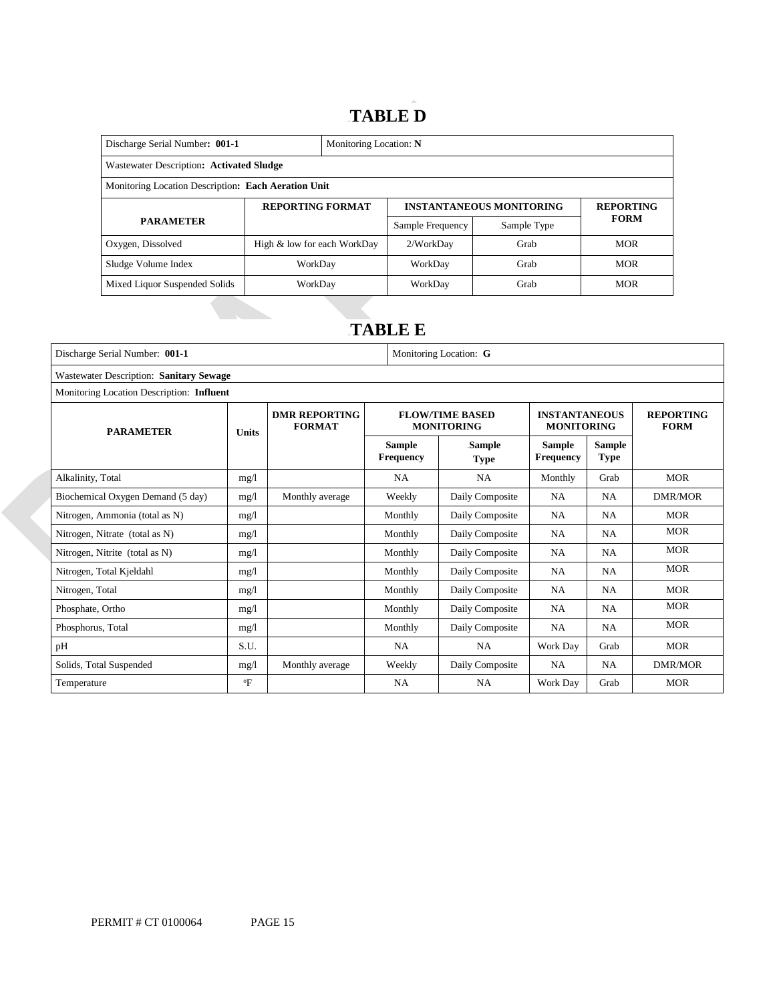# 14B**TABLE D**

| Discharge Serial Number: 001-1                      | Monitoring Location: N      |  |                  |                                 |                  |  |
|-----------------------------------------------------|-----------------------------|--|------------------|---------------------------------|------------------|--|
| Wastewater Description: Activated Sludge            |                             |  |                  |                                 |                  |  |
| Monitoring Location Description: Each Aeration Unit |                             |  |                  |                                 |                  |  |
| <b>REPORTING FORMAT</b>                             |                             |  |                  | <b>INSTANTANEOUS MONITORING</b> | <b>REPORTING</b> |  |
| <b>PARAMETER</b>                                    |                             |  | Sample Frequency | Sample Type                     | <b>FORM</b>      |  |
| Oxygen, Dissolved                                   | High & low for each WorkDay |  | 2/WorkDay        | Grab                            | <b>MOR</b>       |  |
| Sludge Volume Index                                 | WorkDav                     |  | WorkDay<br>Grab  |                                 | <b>MOR</b>       |  |
| Mixed Liquor Suspended Solids                       | WorkDay                     |  | WorkDay          | Grab                            | <b>MOR</b>       |  |

# 15B**TABLE E**

| Discharge Serial Number: 001-1            |                                         |                                       |                                   | Monitoring Location: G                      |                                           |                              |                                 |  |  |
|-------------------------------------------|-----------------------------------------|---------------------------------------|-----------------------------------|---------------------------------------------|-------------------------------------------|------------------------------|---------------------------------|--|--|
|                                           | Wastewater Description: Sanitary Sewage |                                       |                                   |                                             |                                           |                              |                                 |  |  |
| Monitoring Location Description: Influent |                                         |                                       |                                   |                                             |                                           |                              |                                 |  |  |
| <b>PARAMETER</b><br><b>Units</b>          |                                         | <b>DMR REPORTING</b><br><b>FORMAT</b> |                                   | <b>FLOW/TIME BASED</b><br><b>MONITORING</b> | <b>INSTANTANEOUS</b><br><b>MONITORING</b> |                              | <b>REPORTING</b><br><b>FORM</b> |  |  |
|                                           |                                         |                                       | <b>Sample</b><br><b>Frequency</b> | Sample<br><b>Type</b>                       | <b>Sample</b><br><b>Frequency</b>         | <b>Sample</b><br><b>Type</b> |                                 |  |  |
| Alkalinity, Total                         | mg/1                                    |                                       | <b>NA</b>                         | <b>NA</b>                                   | Monthly                                   | Grab                         | <b>MOR</b>                      |  |  |
| Biochemical Oxygen Demand (5 day)         | mg/1                                    | Monthly average                       | Weekly                            | Daily Composite                             | <b>NA</b>                                 | <b>NA</b>                    | <b>DMR/MOR</b>                  |  |  |
| Nitrogen, Ammonia (total as N)            | mg/1                                    |                                       | Monthly                           | Daily Composite                             | NA                                        | <b>NA</b>                    | <b>MOR</b>                      |  |  |
| Nitrogen, Nitrate (total as N)            | mg/1                                    |                                       | Monthly                           | Daily Composite                             | <b>NA</b>                                 | <b>NA</b>                    | <b>MOR</b>                      |  |  |
| Nitrogen, Nitrite (total as N)            | mg/1                                    |                                       | Monthly                           | Daily Composite                             | <b>NA</b>                                 | <b>NA</b>                    | <b>MOR</b>                      |  |  |
| Nitrogen, Total Kjeldahl                  | mg/1                                    |                                       | Monthly                           | Daily Composite                             | <b>NA</b>                                 | <b>NA</b>                    | <b>MOR</b>                      |  |  |
| Nitrogen, Total                           | mg/1                                    |                                       | Monthly                           | Daily Composite                             | <b>NA</b>                                 | <b>NA</b>                    | <b>MOR</b>                      |  |  |
| Phosphate, Ortho                          | mg/1                                    |                                       | Monthly                           | Daily Composite                             | <b>NA</b>                                 | <b>NA</b>                    | <b>MOR</b>                      |  |  |
| Phosphorus, Total                         | mg/l                                    |                                       | Monthly                           | Daily Composite                             | <b>NA</b>                                 | <b>NA</b>                    | <b>MOR</b>                      |  |  |
| pH                                        | S.U.                                    |                                       | <b>NA</b>                         | <b>NA</b>                                   | Work Day                                  | Grab                         | <b>MOR</b>                      |  |  |
| Solids, Total Suspended                   | mg/1                                    | Monthly average                       | Weekly                            | Daily Composite                             | <b>NA</b>                                 | <b>NA</b>                    | <b>DMR/MOR</b>                  |  |  |
| Temperature                               | $\mathrm{P}$                            |                                       | NA                                | NA                                          | Work Day                                  | Grab                         | <b>MOR</b>                      |  |  |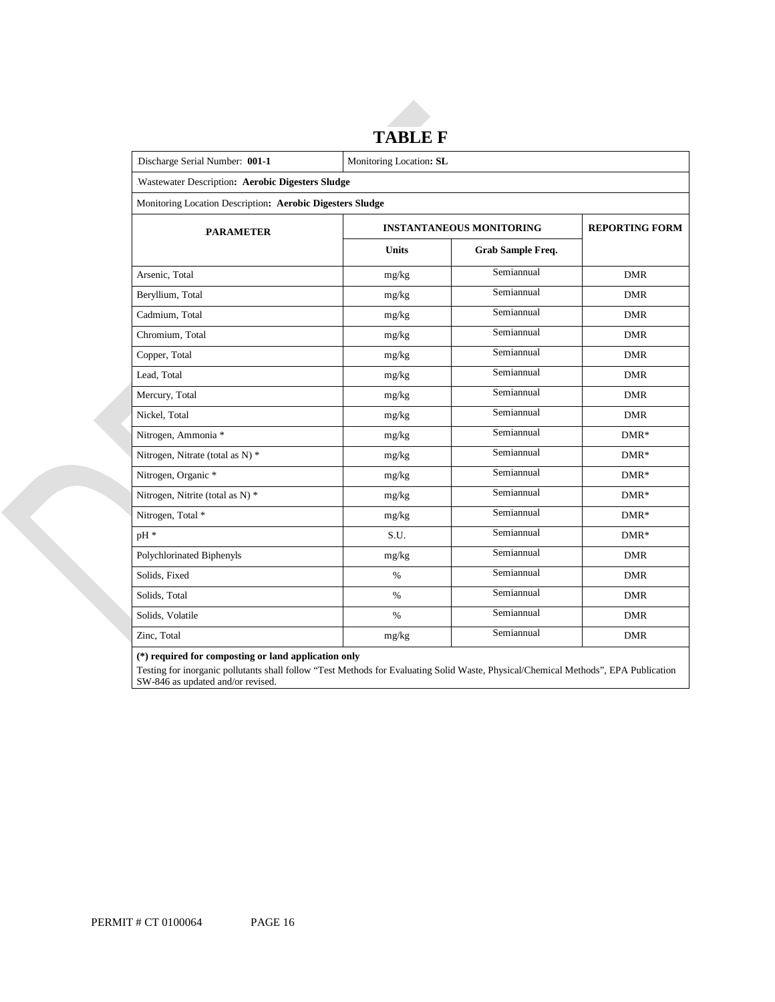# **TABLE F**

| Discharge Serial Number: 001-1                            | Monitoring Location: SL |                                 |                       |  |  |  |
|-----------------------------------------------------------|-------------------------|---------------------------------|-----------------------|--|--|--|
| Wastewater Description: Aerobic Digesters Sludge          |                         |                                 |                       |  |  |  |
| Monitoring Location Description: Aerobic Digesters Sludge |                         |                                 |                       |  |  |  |
| <b>PARAMETER</b>                                          |                         | <b>INSTANTANEOUS MONITORING</b> | <b>REPORTING FORM</b> |  |  |  |
|                                                           | <b>Units</b>            | Grab Sample Freq.               |                       |  |  |  |
| Arsenic, Total                                            | mg/kg                   | Semiannual                      | <b>DMR</b>            |  |  |  |
| Beryllium, Total                                          | mg/kg                   | Semiannual                      | <b>DMR</b>            |  |  |  |
| Cadmium, Total                                            | mg/kg                   | Semiannual                      | <b>DMR</b>            |  |  |  |
| Chromium, Total                                           | mg/kg                   | Semiannual                      | <b>DMR</b>            |  |  |  |
| Copper, Total                                             | mg/kg                   | Semiannual                      | <b>DMR</b>            |  |  |  |
| Lead, Total                                               | mg/kg                   | Semiannual                      | <b>DMR</b>            |  |  |  |
| Mercury, Total                                            | mg/kg                   | Semiannual                      | <b>DMR</b>            |  |  |  |
| Nickel, Total                                             | mg/kg                   | Semiannual                      | <b>DMR</b>            |  |  |  |
| Nitrogen, Ammonia *                                       | mg/kg                   | Semiannual                      | $DMR*$                |  |  |  |
| Nitrogen, Nitrate (total as N) *                          | mg/kg                   | Semiannual                      | $DMR*$                |  |  |  |
| Nitrogen, Organic *                                       | mg/kg                   | Semiannual                      | $DMR*$                |  |  |  |
| Nitrogen, Nitrite (total as N) *                          | mg/kg                   | Semiannual                      | $DMR*$                |  |  |  |
| Nitrogen, Total *                                         | mg/kg                   | Semiannual                      | $DMR*$                |  |  |  |
| pH *                                                      | S.U.                    | Semiannual                      | $DMR*$                |  |  |  |
| Polychlorinated Biphenyls                                 | mg/kg                   | Semiannual                      | <b>DMR</b>            |  |  |  |
| Solids, Fixed                                             | $\%$                    | Semiannual                      | <b>DMR</b>            |  |  |  |
| Solids, Total                                             | $\%$                    | Semiannual                      | <b>DMR</b>            |  |  |  |
| Solids, Volatile                                          | $\%$                    | Semiannual                      | <b>DMR</b>            |  |  |  |
| Zinc, Total                                               | mg/kg                   | Semiannual                      | <b>DMR</b>            |  |  |  |

 **(\*) required for composting or land application only** 

 Testing for inorganic pollutants shall follow "Test Methods for Evaluating Solid Waste, Physical/Chemical Methods", EPA Publication SW-846 as updated and/or revised.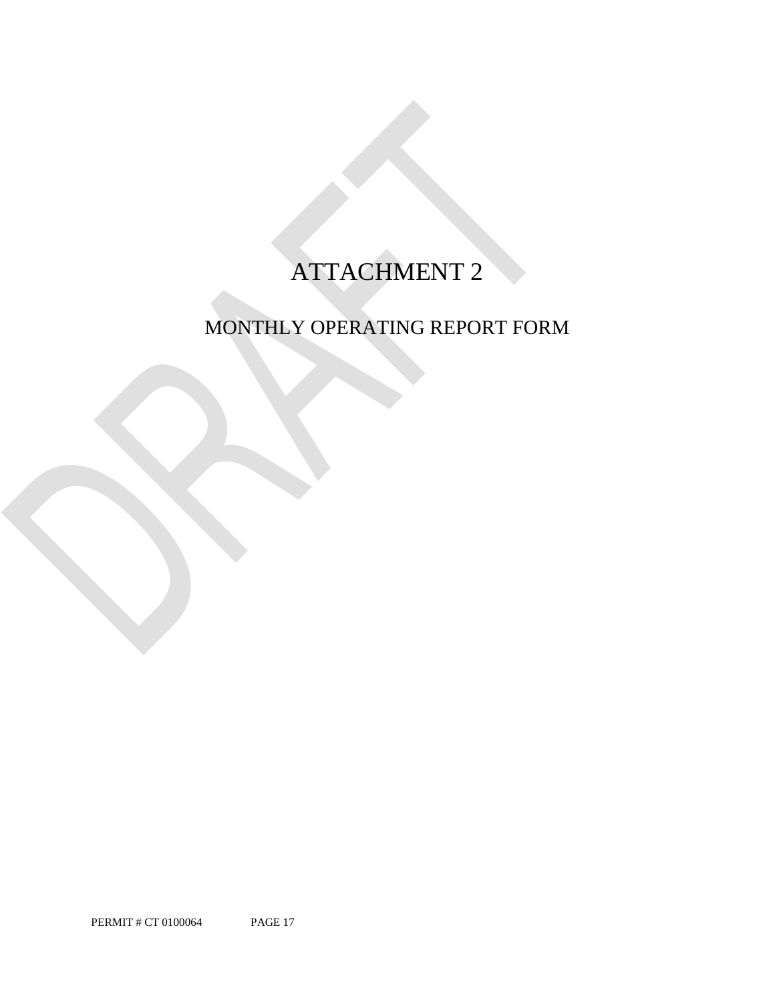# ATTACHMENT 2

# MONTHLY OPERATING REPORT FORM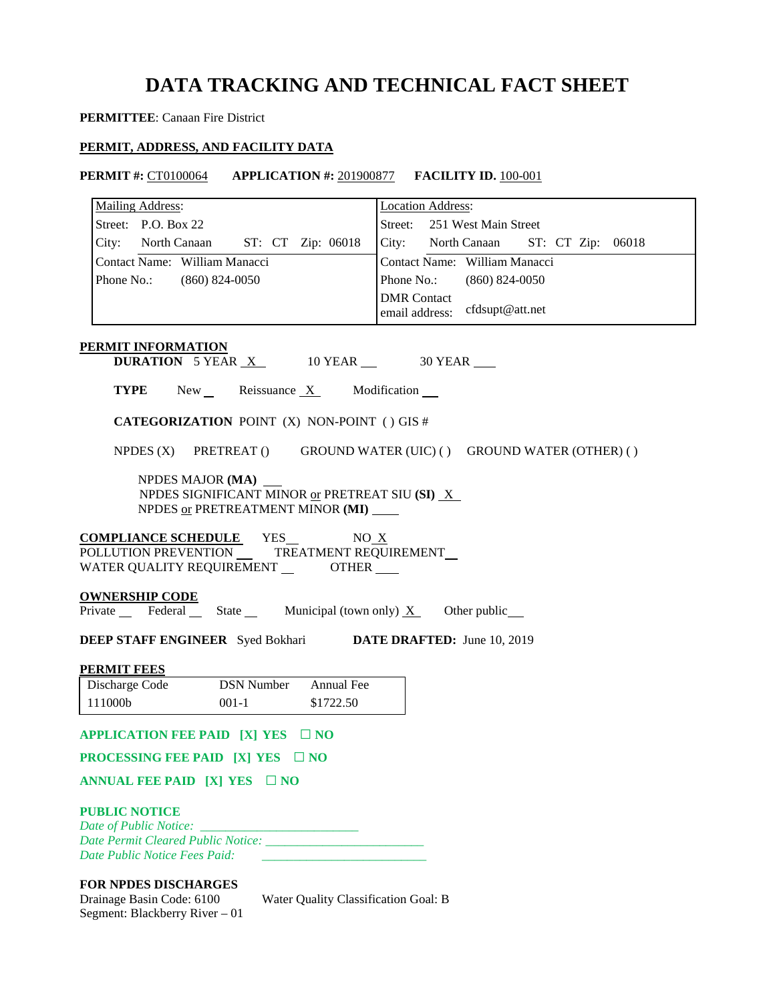# **DATA TRACKING AND TECHNICAL FACT SHEET**

## **PERMITTEE**: Canaan Fire District

## **PERMIT, ADDRESS, AND FACILITY DATA**

**PERMIT #:** CT0100064 **APPLICATION #:** 201900877 **FACILITY ID.** 100-001

| <b>Mailing Address:</b>                                                               | <b>Location Address:</b>                             |
|---------------------------------------------------------------------------------------|------------------------------------------------------|
| Street: P.O. Box 22                                                                   | Street: 251 West Main Street                         |
| City: North Canaan ST: CT Zip: 06018                                                  | City: North Canaan ST: CT Zip: 06018                 |
| Contact Name: William Manacci                                                         | Contact Name: William Manacci                        |
|                                                                                       |                                                      |
| Phone No.:<br>$(860)$ 824-0050                                                        | Phone No.: (860) 824-0050                            |
|                                                                                       | <b>DMR</b> Contact<br>email address: cfdsupt@att.net |
| PERMIT INFORMATION                                                                    |                                                      |
| <b>DURATION</b> 5 YEAR $X$ 10 YEAR $\_\$ 30 YEAR                                      |                                                      |
| <b>TYPE</b> New Reissuance $X$ Modification $\blacksquare$                            |                                                      |
| <b>CATEGORIZATION POINT (X) NON-POINT () GIS #</b>                                    |                                                      |
| NPDES (X) PRETREAT () GROUND WATER (UIC) () GROUND WATER (OTHER) ()                   |                                                      |
| NPDES MAJOR (MA)                                                                      |                                                      |
| NPDES SIGNIFICANT MINOR or PRETREAT SIU (SI) $X$                                      |                                                      |
| NPDES or PRETREATMENT MINOR (MI) ____                                                 |                                                      |
| <b>COMPLIANCE SCHEDULE</b> YES NO X                                                   |                                                      |
| POLLUTION PREVENTION __ TREATMENT REQUIREMENT                                         |                                                      |
| WATER QUALITY REQUIREMENT _________ OTHER _____                                       |                                                      |
|                                                                                       |                                                      |
| <b>OWNERSHIP CODE</b><br>Private Federal State Municipal (town only) $X$ Other public |                                                      |
|                                                                                       |                                                      |
| <b>DEEP STAFF ENGINEER</b> Syed Bokhari DATE DRAFTED: June 10, 2019                   |                                                      |
| <b>PERMIT FEES</b>                                                                    |                                                      |
| Discharge Code<br><b>DSN Number</b><br>Annual Fee                                     |                                                      |
| 111000b<br>$001-1$<br>\$1722.50                                                       |                                                      |
| APPLICATION FEE PAID [X] YES □ NO                                                     |                                                      |
| <b>PROCESSING FEE PAID [X] YES <math>\Box</math> NO</b>                               |                                                      |
| ANNUAL FEE PAID [X] YES $\Box$ NO                                                     |                                                      |
| <b>PUBLIC NOTICE</b>                                                                  |                                                      |
|                                                                                       |                                                      |
| Date Public Notice Fees Paid:                                                         |                                                      |
| <b>FOR NPDFS DISCHARCES</b>                                                           |                                                      |

### **FOR NPDES DISCHARGES**

| Drainage Basin Code: 6100      |  |
|--------------------------------|--|
| Segment: Blackberry River – 01 |  |

Water Quality Classification Goal: B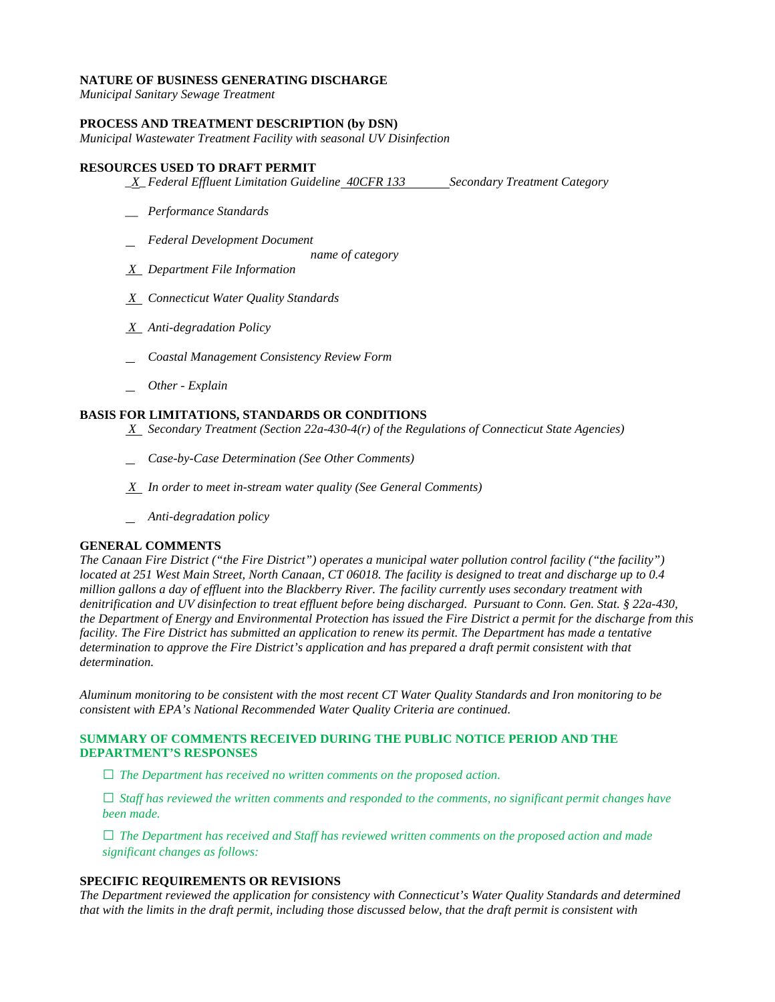### **NATURE OF BUSINESS GENERATING DISCHARGE**

*Municipal Sanitary Sewage Treatment* 

### **PROCESS AND TREATMENT DESCRIPTION (by DSN)**

*Municipal Wastewater Treatment Facility with seasonal UV Disinfection* 

### **RESOURCES USED TO DRAFT PERMIT**

- *\_X\_Federal Effluent Limitation Guideline <del>40CFR 133</del> Secondary Treatment Category*
- *\_\_ Performance Standards*
- *Federal Development Document* 
	- *name of category*
- *X Department File Information*
- *X Connecticut Water Quality Standards*
- *X Anti-degradation Policy*
- *Coastal Management Consistency Review Form*
- *Other - Explain*

### **BASIS FOR LIMITATIONS, STANDARDS OR CONDITIONS**

- *X Secondary Treatment (Section 22a-430-4(r) of the Regulations of Connecticut State Agencies)*
- *Case-by-Case Determination (See Other Comments)*
- *X In order to meet in-stream water quality (See General Comments)*
- *Anti-degradation policy*

## **GENERAL COMMENTS**

 *located at 251 West Main Street, North Canaan, CT 06018. The facility is designed to treat and discharge up to 0.4 denitrification and UV disinfection to treat effluent before being discharged. Pursuant to Conn. Gen. Stat. § 22a-430,*  facility. The Fire District has submitted an application to renew its permit. The Department has made a tentative  $determination.$ *The Canaan Fire District ("the Fire District") operates a municipal water pollution control facility ("the facility") million gallons a day of effluent into the Blackberry River. The facility currently uses secondary treatment with the Department of Energy and Environmental Protection has issued the Fire District a permit for the discharge from this determination to approve the Fire District's application and has prepared a draft permit consistent with that* 

determination.<br>Aluminum monitoring to be consistent with the most recent CT Water Quality Standards and Iron monitoring to be *consistent with EPA's National Recommended Water Quality Criteria are continued.* 

### **SUMMARY OF COMMENTS RECEIVED DURING THE PUBLIC NOTICE PERIOD AND THE DEPARTMENT'S RESPONSES**

**□** *The Department has received no written comments on the proposed action.* 

**□** *Staff has reviewed the written comments and responded to the comments, no significant permit changes have been made.* 

**□** *The Department has received and Staff has reviewed written comments on the proposed action and made significant changes as follows:* 

### **SPECIFIC REQUIREMENTS OR REVISIONS**

*The Department reviewed the application for consistency with Connecticut's Water Quality Standards and determined that with the limits in the draft permit, including those discussed below, that the draft permit is consistent with*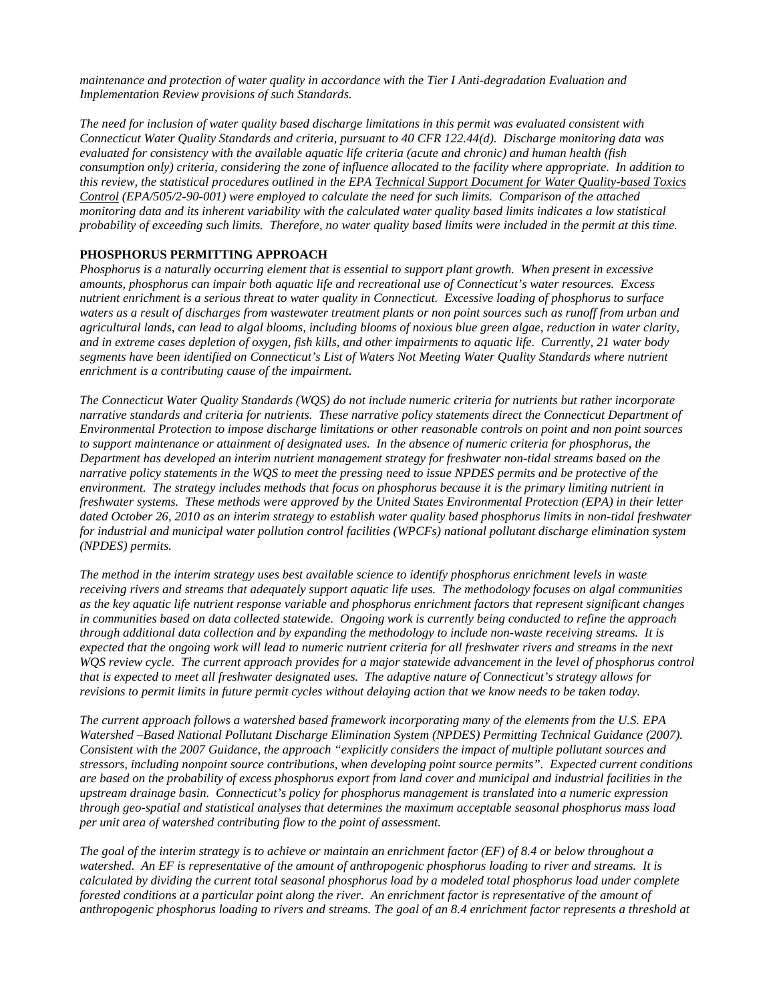**Implementation Review provisions of such Standards.** *maintenance and protection of water quality in accordance with the Tier I Anti-degradation Evaluation and* 

 *Connecticut Water Quality Standards and criteria, pursuant to 40 CFR 122.44(d). Discharge monitoring data was consumption only) criteria, considering the zone of influence allocated to the facility where appropriate. In addition to probability of exceeding such limits. Therefore, no water quality based limits were included in the permit at this time. The need for inclusion of water quality based discharge limitations in this permit was evaluated consistent with evaluated for consistency with the available aquatic life criteria (acute and chronic) and human health (fish this review, the statistical procedures outlined in the EPA Technical Support Document for Water Quality-based Toxics Control (EPA/505/2-90-001) were employed to calculate the need for such limits. Comparison of the attached monitoring data and its inherent variability with the calculated water quality based limits indicates a low statistical* 

## **PHOSPHORUS PERMITTING APPROACH**

 *amounts, phosphorus can impair both aquatic life and recreational use of Connecticut's water resources. Excess Phosphorus is a naturally occurring element that is essential to support plant growth. When present in excessive nutrient enrichment is a serious threat to water quality in Connecticut. Excessive loading of phosphorus to surface waters as a result of discharges from wastewater treatment plants or non point sources such as runoff from urban and agricultural lands, can lead to algal blooms, including blooms of noxious blue green algae, reduction in water clarity, and in extreme cases depletion of oxygen, fish kills, and other impairments to aquatic life. Currently, 21 water body segments have been identified on Connecticut's List of Waters Not Meeting Water Quality Standards where nutrient enrichment is a contributing cause of the impairment.* 

*(NPDES)* permits. *The Connecticut Water Quality Standards (WQS) do not include numeric criteria for nutrients but rather incorporate narrative standards and criteria for nutrients. These narrative policy statements direct the Connecticut Department of Environmental Protection to impose discharge limitations or other reasonable controls on point and non point sources*  to support maintenance or attainment of designated uses. In the absence of numeric criteria for phosphorus, the *Department has developed an interim nutrient management strategy for freshwater non-tidal streams based on the narrative policy statements in the WQS to meet the pressing need to issue NPDES permits and be protective of the environment. The strategy includes methods that focus on phosphorus because it is the primary limiting nutrient in freshwater systems. These methods were approved by the United States Environmental Protection (EPA) in their letter dated October 26, 2010 as an interim strategy to establish water quality based phosphorus limits in non-tidal freshwater for industrial and municipal water pollution control facilities (WPCFs) national pollutant discharge elimination system* 

The method in the interim strategy uses best available science to identify phosphorus enrichment levels in waste *receiving rivers and streams that adequately support aquatic life uses. The methodology focuses on algal communities as the key aquatic life nutrient response variable and phosphorus enrichment factors that represent significant changes in communities based on data collected statewide. Ongoing work is currently being conducted to refine the approach through additional data collection and by expanding the methodology to include non-waste receiving streams. It is expected that the ongoing work will lead to numeric nutrient criteria for all freshwater rivers and streams in the next WQS review cycle. The current approach provides for a major statewide advancement in the level of phosphorus control that is expected to meet all freshwater designated uses. The adaptive nature of Connecticut's strategy allows for revisions to permit limits in future permit cycles without delaying action that we know needs to be taken today.* 

**Watershed -Based National Pollutant Discharge Elimination System (NPDES) Permitting Technical Guidance (2007).**  *per unit area of watershed contributing flow to the point of assessment. The current approach follows a watershed based framework incorporating many of the elements from the U.S. EPA*  Consistent with the 2007 Guidance, the approach "explicitly considers the impact of multiple pollutant sources and *stressors, including nonpoint source contributions, when developing point source permits". Expected current conditions are based on the probability of excess phosphorus export from land cover and municipal and industrial facilities in the upstream drainage basin. Connecticut's policy for phosphorus management is translated into a numeric expression through geo-spatial and statistical analyses that determines the maximum acceptable seasonal phosphorus mass load* 

*The goal of the interim strategy is to achieve or maintain an enrichment factor (EF) of 8.4 or below throughout a watershed. An EF is representative of the amount of anthropogenic phosphorus loading to river and streams. It is calculated by dividing the current total seasonal phosphorus load by a modeled total phosphorus load under complete forested conditions at a particular point along the river. An enrichment factor is representative of the amount of anthropogenic phosphorus loading to rivers and streams. The goal of an 8.4 enrichment factor represents a threshold at*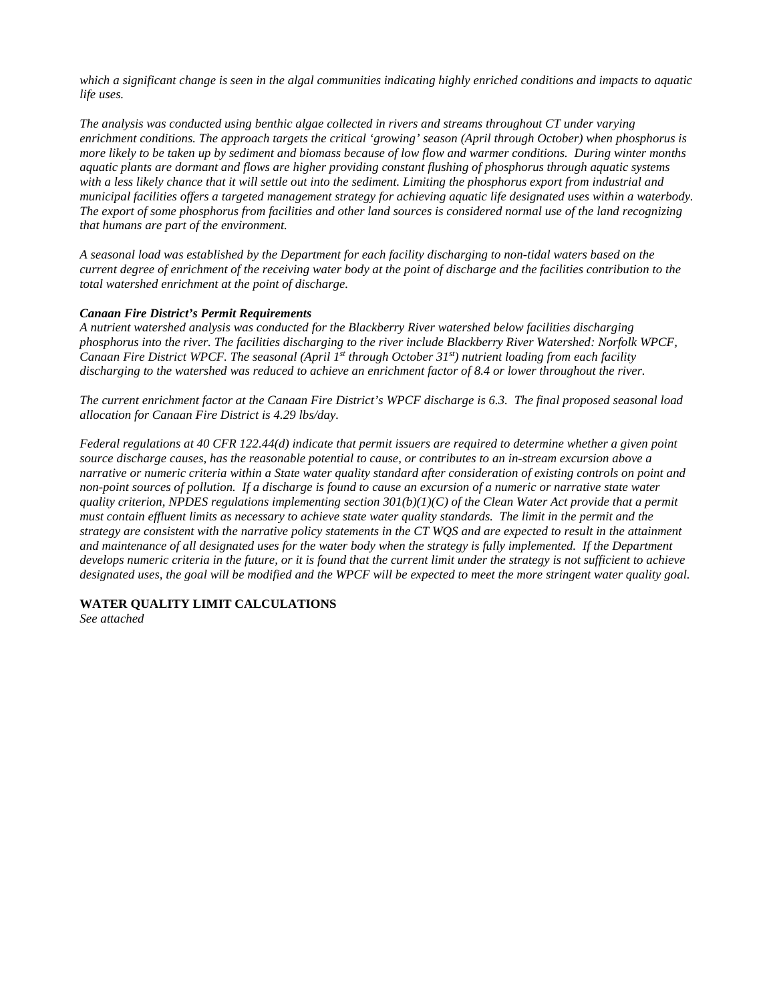*life* uses. *which a significant change is seen in the algal communities indicating highly enriched conditions and impacts to aquatic* 

*municipal facilities offers a targeted management strategy for achieving aquatic life designated uses within a waterbody. that humans are part of the environment. life uses. The analysis was conducted using benthic algae collected in rivers and streams throughout CT under varying enrichment conditions. The approach targets the critical 'growing' season (April through October) when phosphorus is more likely to be taken up by sediment and biomass because of low flow and warmer conditions. During winter months aquatic plants are dormant and flows are higher providing constant flushing of phosphorus through aquatic systems with a less likely chance that it will settle out into the sediment. Limiting the phosphorus export from industrial and*  The export of some phosphorus from facilities and other land sources is considered normal use of the land recognizing

 *current degree of enrichment of the receiving water body at the point of discharge and the facilities contribution to the total watershed enrichment at the point of discharge. that humans are part of the environment. A seasonal load was established by the Department for each facility discharging to non-tidal waters based on the* 

### *Canaan Fire District's Permit Requirements*

*discharging to the watershed was reduced to achieve an enrichment factor of 8.4 or lower throughout the river. A nutrient watershed analysis was conducted for the Blackberry River watershed below facilities discharging phosphorus into the river. The facilities discharging to the river include Blackberry River Watershed: Norfolk WPCF, Canaan Fire District WPCF. The seasonal (April 1st through October 31st) nutrient loading from each facility* 

 *allocation for Canaan Fire District is 4.29 lbs/day.*  The current enrichment factor at the Canaan Fire District's WPCF discharge is 6.3. The final proposed seasonal load

 *designated uses, the goal will be modified and the WPCF will be expected to meet the more stringent water quality goal. Federal regulations at 40 CFR 122.44(d) indicate that permit issuers are required to determine whether a given point source discharge causes, has the reasonable potential to cause, or contributes to an in-stream excursion above a narrative or numeric criteria within a State water quality standard after consideration of existing controls on point and non-point sources of pollution. If a discharge is found to cause an excursion of a numeric or narrative state water quality criterion, NPDES regulations implementing section 301(b)(1)(C) of the Clean Water Act provide that a permit must contain effluent limits as necessary to achieve state water quality standards. The limit in the permit and the strategy are consistent with the narrative policy statements in the CT WQS and are expected to result in the attainment*  and maintenance of all designated uses for the water body when the strategy is fully implemented. If the Department *develops numeric criteria in the future, or it is found that the current limit under the strategy is not sufficient to achieve* 

**WATER QUALITY LIMIT CALCULATIONS** 

*See attached*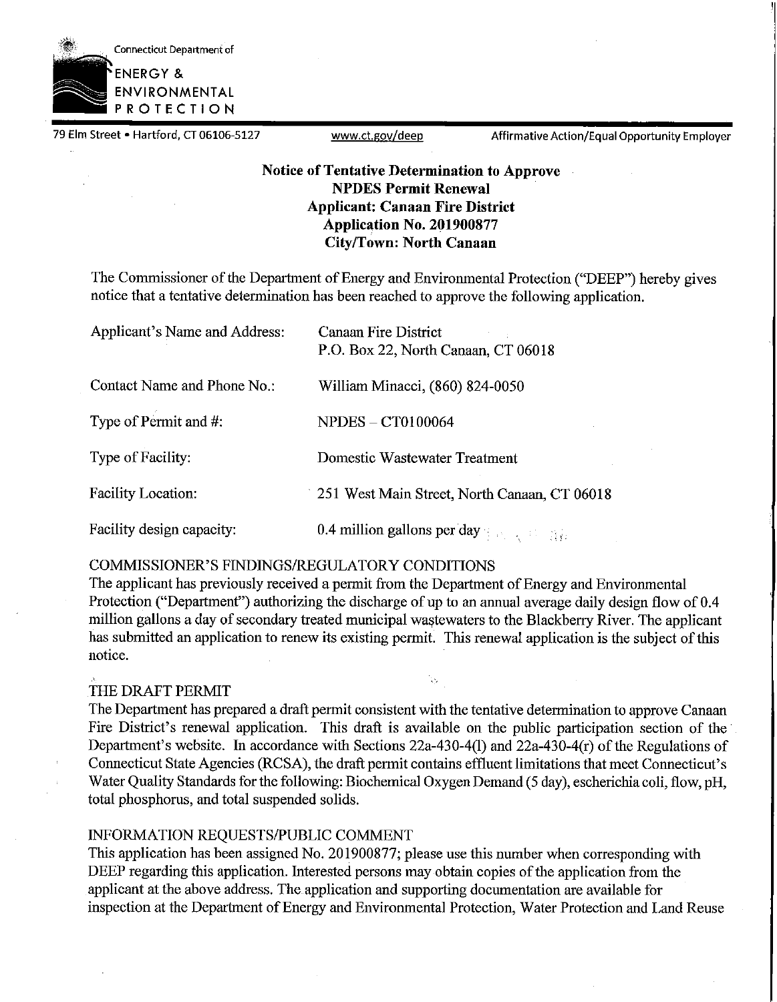

79 Elm Street • Hartford, CT 06106-5127 <www.ct.gov/deep> Affirmative Action/Equal Opportunity Employer

# **Notice of Tentative Determination to Approve NPDES Permit Renewal Applicant: Canaan Fire District Application No. 201900877 City/Town: North Canaan**

The Commissioner of the Department of Energy and Environmental Protection ("DEEP") hereby gives notice that a tentative determination has been reached to approve the following application.

| Applicant's Name and Address: | <b>Canaan Fire District</b><br>P.O. Box 22, North Canaan, CT 06018 |
|-------------------------------|--------------------------------------------------------------------|
| Contact Name and Phone No.:   | William Minacci, (860) 824-0050                                    |
| Type of Permit and #:         | $NPDES - CT0100064$                                                |
| Type of Facility:             | Domestic Wastewater Treatment                                      |
| <b>Facility Location:</b>     | 251 West Main Street, North Canaan, CT 06018                       |
| Facility design capacity:     | 0.4 million gallons per day $\frac{1}{2}$ and $\frac{1}{2}$        |

## COMMISSIONER'S FINDINGS/REGULATORY CONDITIONS

The applicant has previously received a permit from the Department of Energy and Environmental Protection ("Department") authorizing the discharge of up to an annual average daily design flow of 0.4 million gallons a day of secondary treated municipal wastewaters to the Blackberry River. The applicant has submitted an application to renew its existing permit. This renewal application is the subject of this notice.

'n.

## THE DRAFT PERMIT

The Department has prepared a draft permit consistent with the tentative determination to approve Canaan Fire District's renewal application. This draft is available on the public participation section of the Department's website. In accordance with Sections 22a-430-4(1) and 22a-430-4(r) of the Regulations of Connecticut State Agencies (RCSA), the draft permit contains effluent limitations that meet Connecticut's Water Quality Standards for the following: Biochemical Oxygen Demand (5 day), escherichia coli, flow, pH, total phosphorus, and total suspended solids.

## INFORMATION REQUESTS/PUBLIC COMMENT

This application has been assigned No. 201900877; please use this number when corresponding with DEEP regarding this application. Interested persons may obtain copies of the application from the applicant at the above address. The application and supporting documentation are available for inspection at the Department of Energy and Enviromnental Protection, Water Protection and Land Reuse